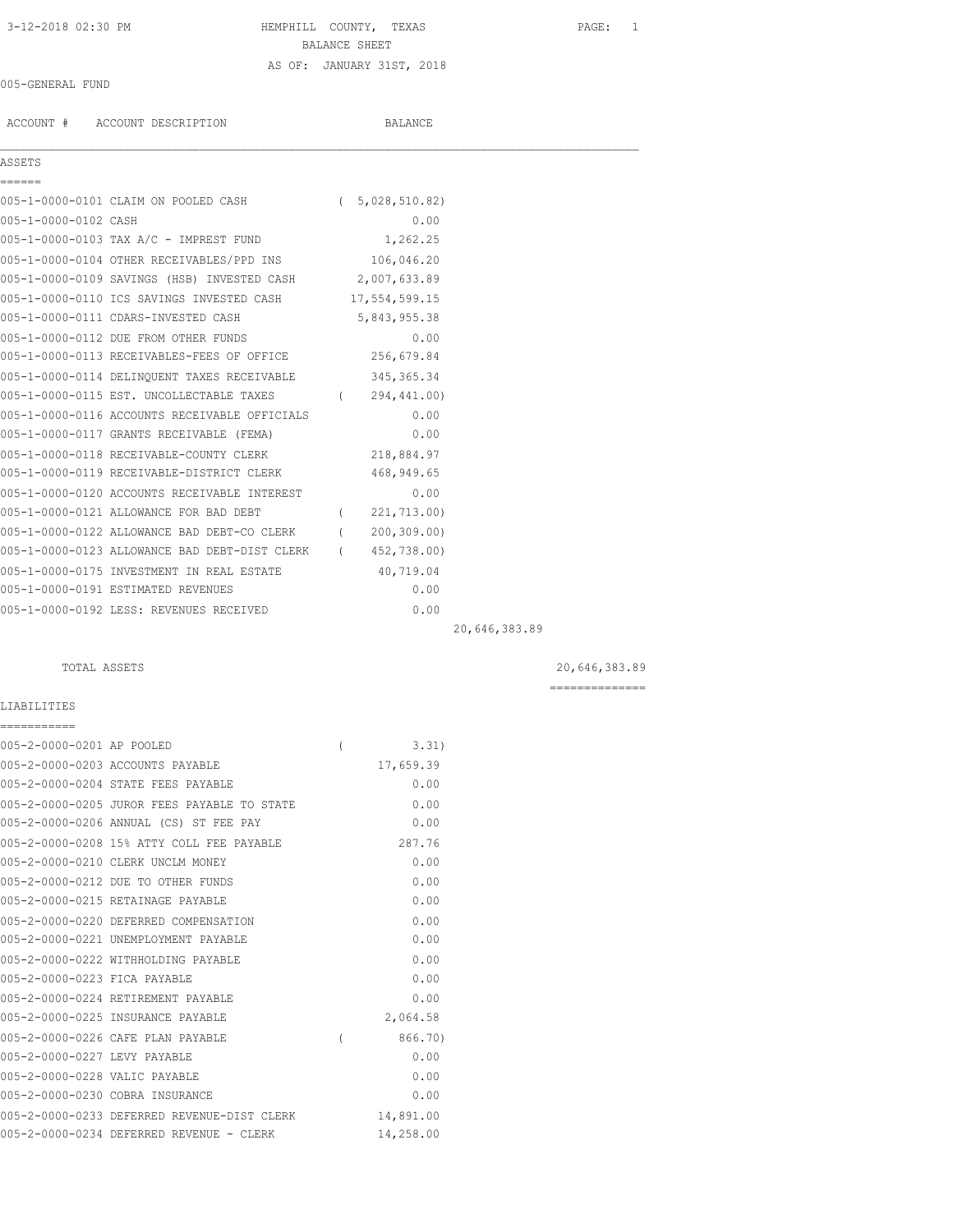## 3-12-2018 02:30 PM HEMPHILL COUNTY, TEXAS PAGE: 1 BALANCE SHEET AS OF: JANUARY 31ST, 2018

#### 005-GENERAL FUND

ACCOUNT # ACCOUNT DESCRIPTION BALANCE

ASSETS ======

 $\mathcal{L}_\mathcal{L} = \mathcal{L}_\mathcal{L}$ 

|                      | 005-1-0000-0101 CLAIM ON POOLED CASH        | 5,028,510.82  |
|----------------------|---------------------------------------------|---------------|
| 005-1-0000-0102 CASH |                                             | 0.00          |
|                      | 005-1-0000-0103 TAX A/C - IMPREST FUND      | 1,262.25      |
|                      | 005-1-0000-0104 OTHER RECEIVABLES/PPD INS   | 106,046.20    |
|                      | 005-1-0000-0109 SAVINGS (HSB) INVESTED CASH | 2,007,633.89  |
|                      | 005-1-0000-0110 ICS SAVINGS INVESTED CASH   | 17,554,599.15 |

005-1-0000-0111 CDARS-INVESTED CASH 5,843,955.38

| 005-1-0000-0112 DUE FROM OTHER FUNDS          |                  | 0.00         |  |
|-----------------------------------------------|------------------|--------------|--|
| 005-1-0000-0113 RECEIVABLES-FEES OF OFFICE    |                  | 256,679.84   |  |
| 005-1-0000-0114 DELINQUENT TAXES RECEIVABLE   |                  | 345, 365. 34 |  |
| 005-1-0000-0115 EST. UNCOLLECTABLE TAXES      |                  | 294,441.00)  |  |
| 005-1-0000-0116 ACCOUNTS RECEIVABLE OFFICIALS |                  | 0.00         |  |
| 005-1-0000-0117 GRANTS RECEIVABLE (FEMA)      |                  | 0.00         |  |
| 005-1-0000-0118 RECEIVABLE-COUNTY CLERK       |                  | 218,884.97   |  |
| 005-1-0000-0119 RECEIVABLE-DISTRICT CLERK     |                  | 468, 949.65  |  |
| 005-1-0000-0120 ACCOUNTS RECEIVABLE INTEREST  |                  | 0.00         |  |
| 005-1-0000-0121 ALLOWANCE FOR BAD DEBT        |                  | 221,713.00)  |  |
| 005-1-0000-0122 ALLOWANCE BAD DEBT-CO CLERK   | $\overline{(\ }$ | 200, 309, 00 |  |
| 005-1-0000-0123 ALLOWANCE BAD DEBT-DIST CLERK | $\left($         | 452,738.00)  |  |
| 005-1-0000-0175 INVESTMENT IN REAL ESTATE     |                  | 40,719.04    |  |
| 005-1-0000-0191 ESTIMATED REVENUES            |                  | 0.00         |  |
| 005-1-0000-0192 LESS: REVENUES RECEIVED       |                  | 0.00         |  |

20,646,383.89

### TOTAL ASSETS 20,646,383.89

==============

LIABILITIES

| ===========                   |                                             |          |           |
|-------------------------------|---------------------------------------------|----------|-----------|
| 005-2-0000-0201 AP POOLED     |                                             | $\left($ | 3.31)     |
|                               | 005-2-0000-0203 ACCOUNTS PAYABLE            |          | 17,659.39 |
|                               | 005-2-0000-0204 STATE FEES PAYABLE          |          | 0.00      |
|                               | 005-2-0000-0205 JUROR FEES PAYABLE TO STATE |          | 0.00      |
|                               | 005-2-0000-0206 ANNUAL (CS) ST FEE PAY      |          | 0.00      |
|                               | 005-2-0000-0208 15% ATTY COLL FEE PAYABLE   |          | 287.76    |
|                               | 005-2-0000-0210 CLERK UNCLM MONEY           |          | 0.00      |
|                               | 005-2-0000-0212 DUE TO OTHER FUNDS          |          | 0.00      |
|                               | 005-2-0000-0215 RETAINAGE PAYABLE           |          | 0.00      |
|                               | 005-2-0000-0220 DEFERRED COMPENSATION       |          | 0.00      |
|                               | 005-2-0000-0221 UNEMPLOYMENT PAYABLE        |          | 0.00      |
|                               | 005-2-0000-0222 WITHHOLDING PAYABLE         |          | 0.00      |
| 005-2-0000-0223 FICA PAYABLE  |                                             |          | 0.00      |
|                               | 005-2-0000-0224 RETIREMENT PAYABLE          |          | 0.00      |
|                               | 005-2-0000-0225 INSURANCE PAYABLE           |          | 2,064.58  |
|                               | 005-2-0000-0226 CAFE PLAN PAYABLE           | $\left($ | 866.70)   |
| 005-2-0000-0227 LEVY PAYABLE  |                                             |          | 0.00      |
| 005-2-0000-0228 VALIC PAYABLE |                                             |          | 0.00      |
|                               | 005-2-0000-0230 COBRA INSURANCE             |          | 0.00      |
|                               | 005-2-0000-0233 DEFERRED REVENUE-DIST CLERK |          | 14,891.00 |
|                               | 005-2-0000-0234 DEFERRED REVENUE - CLERK    |          | 14,258.00 |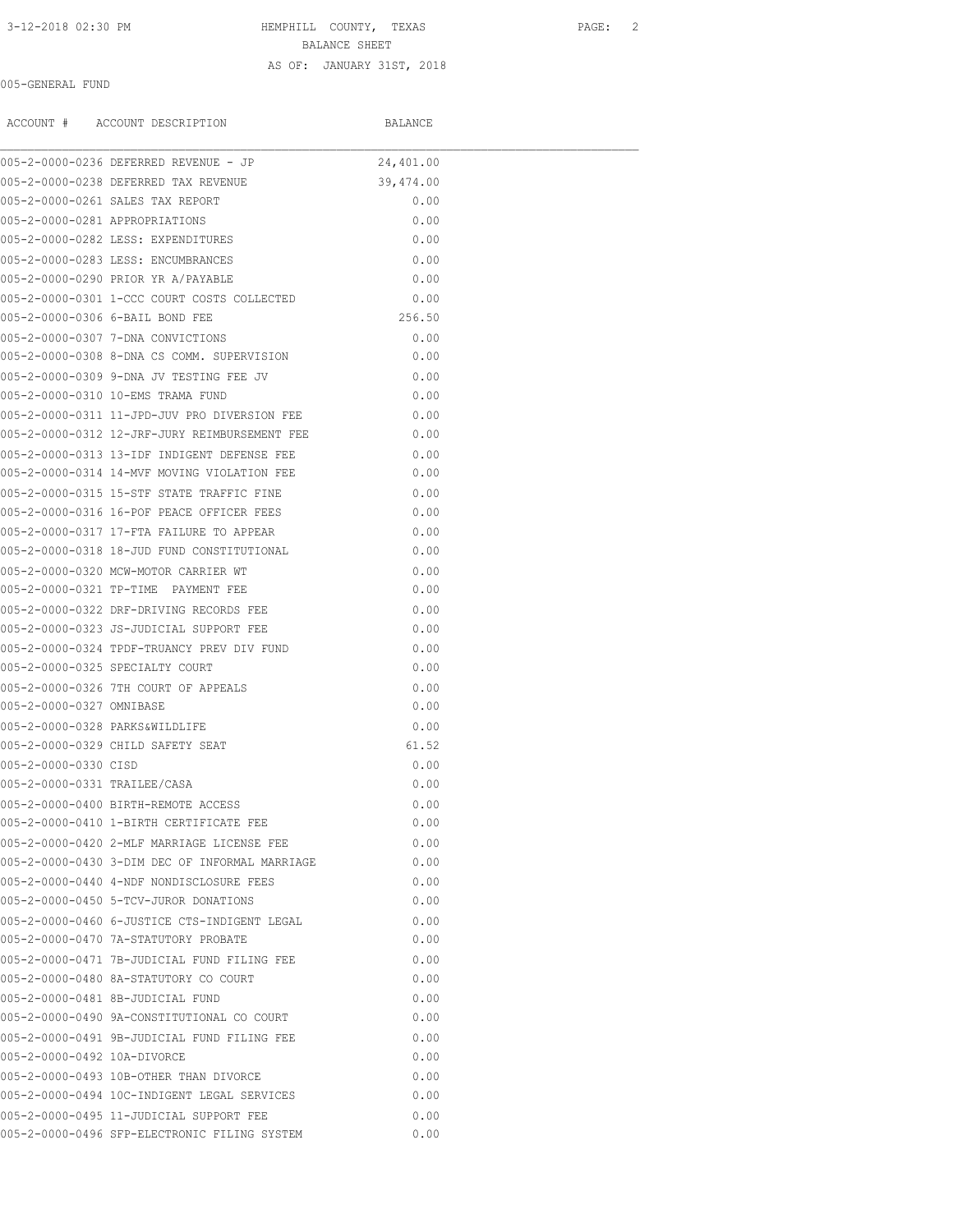3-12-2018 02:30 PM HEMPHILL COUNTY, TEXAS PAGE: 2 BALANCE SHEET

#### AS OF: JANUARY 31ST, 2018

### 005-GENERAL FUND

|                              | ACCOUNT # ACCOUNT DESCRIPTION                      | BALANCE   |  |
|------------------------------|----------------------------------------------------|-----------|--|
|                              | 005-2-0000-0236 DEFERRED REVENUE - JP              | 24,401.00 |  |
|                              | 005-2-0000-0238 DEFERRED TAX REVENUE               | 39,474.00 |  |
|                              | 005-2-0000-0261 SALES TAX REPORT                   | 0.00      |  |
|                              | 005-2-0000-0281 APPROPRIATIONS                     | 0.00      |  |
|                              | 005-2-0000-0282 LESS: EXPENDITURES                 | 0.00      |  |
|                              | 005-2-0000-0283 LESS: ENCUMBRANCES                 | 0.00      |  |
|                              | 005-2-0000-0290 PRIOR YR A/PAYABLE                 | 0.00      |  |
|                              | 005-2-0000-0301 1-CCC COURT COSTS COLLECTED        | 0.00      |  |
|                              | 005-2-0000-0306 6-BAIL BOND FEE                    | 256.50    |  |
|                              | 005-2-0000-0307 7-DNA CONVICTIONS                  | 0.00      |  |
|                              | 005-2-0000-0308 8-DNA CS COMM. SUPERVISION         | 0.00      |  |
|                              | 005-2-0000-0309 9-DNA JV TESTING FEE JV            | 0.00      |  |
|                              | 005-2-0000-0310 10-EMS TRAMA FUND                  | 0.00      |  |
|                              | 005-2-0000-0311 11-JPD-JUV PRO DIVERSION FEE       | 0.00      |  |
|                              | 0.00 005-2-0000-0312 12-JRF-JURY REIMBURSEMENT FEE |           |  |
|                              | 005-2-0000-0313 13-IDF INDIGENT DEFENSE FEE        | 0.00      |  |
|                              | 005-2-0000-0314 14-MVF MOVING VIOLATION FEE        | 0.00      |  |
|                              | 005-2-0000-0315 15-STF STATE TRAFFIC FINE          | 0.00      |  |
|                              | 005-2-0000-0316 16-POF PEACE OFFICER FEES          | 0.00      |  |
|                              | 005-2-0000-0317 17-FTA FAILURE TO APPEAR           | 0.00      |  |
|                              | 005-2-0000-0318 18-JUD FUND CONSTITUTIONAL         | 0.00      |  |
|                              | 005-2-0000-0320 MCW-MOTOR CARRIER WT               | 0.00      |  |
|                              | 005-2-0000-0321 TP-TIME PAYMENT FEE                | 0.00      |  |
|                              | 005-2-0000-0322 DRF-DRIVING RECORDS FEE            | 0.00      |  |
|                              | 005-2-0000-0323 JS-JUDICIAL SUPPORT FEE            | 0.00      |  |
|                              | 005-2-0000-0324 TPDF-TRUANCY PREV DIV FUND         | 0.00      |  |
|                              | 005-2-0000-0325 SPECIALTY COURT                    | 0.00      |  |
|                              | 005-2-0000-0326 7TH COURT OF APPEALS               | 0.00      |  |
| 005-2-0000-0327 OMNIBASE     |                                                    | 0.00      |  |
|                              | 005-2-0000-0328 PARKS&WILDLIFE                     | 0.00      |  |
|                              | 005-2-0000-0329 CHILD SAFETY SEAT                  | 61.52     |  |
| 005-2-0000-0330 CISD         |                                                    | 0.00      |  |
| 005-2-0000-0331 TRAILEE/CASA |                                                    | 0.00      |  |
|                              | 005-2-0000-0400 BIRTH-REMOTE ACCESS                | 0.00      |  |
|                              | 005-2-0000-0410 1-BIRTH CERTIFICATE FEE            | 0.00      |  |
|                              | 005-2-0000-0420 2-MLF MARRIAGE LICENSE FEE         | 0.00      |  |
|                              | 005-2-0000-0430 3-DIM DEC OF INFORMAL MARRIAGE     | 0.00      |  |
|                              | 005-2-0000-0440 4-NDF NONDISCLOSURE FEES           | 0.00      |  |
|                              | 005-2-0000-0450 5-TCV-JUROR DONATIONS              | 0.00      |  |
|                              | 005-2-0000-0460 6-JUSTICE CTS-INDIGENT LEGAL       | 0.00      |  |
|                              | 005-2-0000-0470 7A-STATUTORY PROBATE               | 0.00      |  |
|                              | 005-2-0000-0471 7B-JUDICIAL FUND FILING FEE        | 0.00      |  |
|                              | 005-2-0000-0480 8A-STATUTORY CO COURT              | 0.00      |  |
|                              | 005-2-0000-0481 8B-JUDICIAL FUND                   | 0.00      |  |
|                              | 005-2-0000-0490 9A-CONSTITUTIONAL CO COURT         | 0.00      |  |
|                              | 005-2-0000-0491 9B-JUDICIAL FUND FILING FEE        | 0.00      |  |
| 005-2-0000-0492 10A-DIVORCE  |                                                    | 0.00      |  |
|                              | 005-2-0000-0493 10B-OTHER THAN DIVORCE             | 0.00      |  |
|                              | 005-2-0000-0494 10C-INDIGENT LEGAL SERVICES        | 0.00      |  |
|                              | 005-2-0000-0495 11-JUDICIAL SUPPORT FEE            | 0.00      |  |
|                              | 005-2-0000-0496 SFP-ELECTRONIC FILING SYSTEM       | 0.00      |  |
|                              |                                                    |           |  |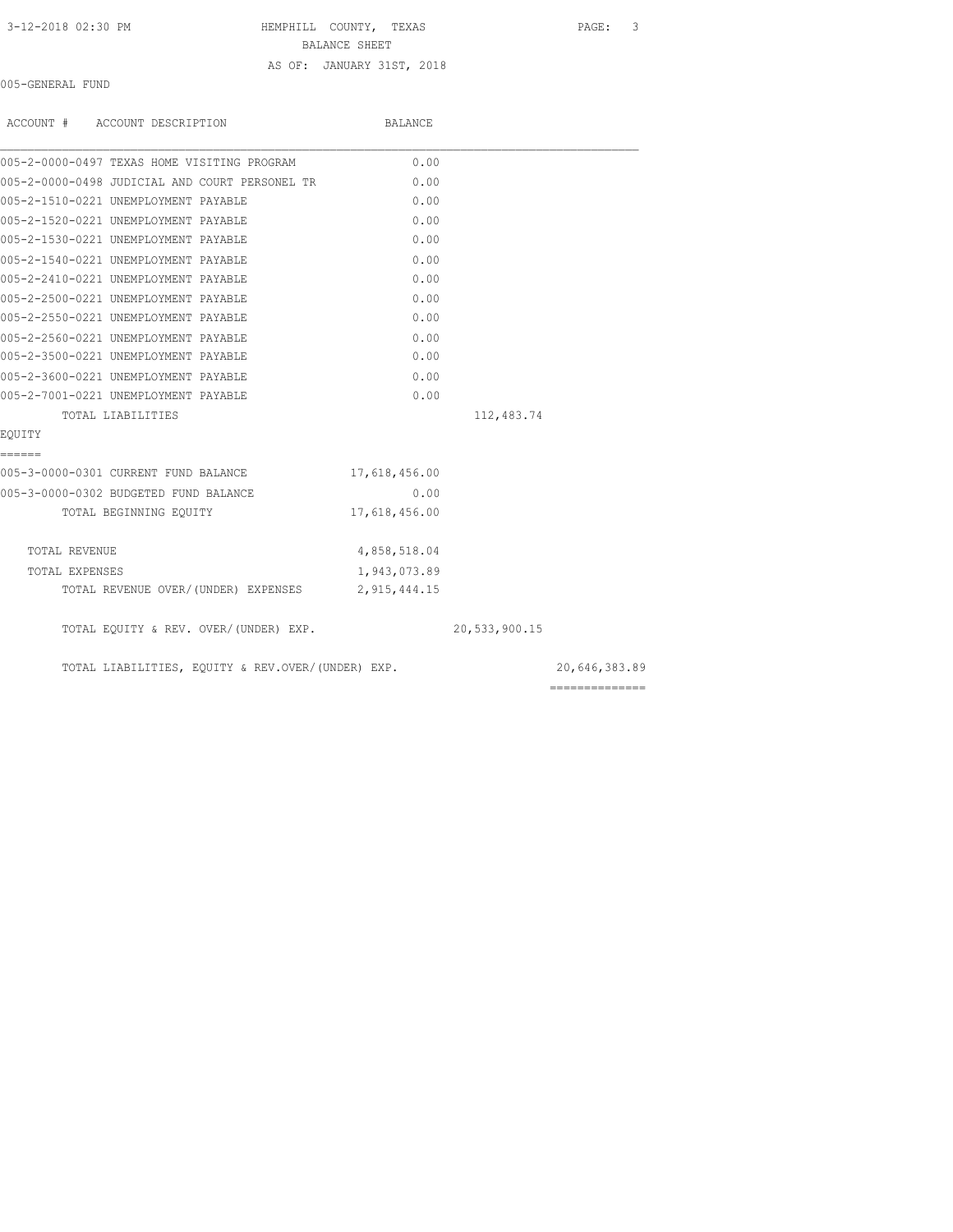# 3-12-2018 02:30 PM HEMPHILL COUNTY, TEXAS PAGE: 3

BALANCE SHEET

# AS OF: JANUARY 31ST, 2018

005-GENERAL FUND

| ACCOUNT # ACCOUNT DESCRIPTION |                                                   | BALANCE       |               |               |
|-------------------------------|---------------------------------------------------|---------------|---------------|---------------|
|                               | 005-2-0000-0497 TEXAS HOME VISITING PROGRAM       | 0.00          |               |               |
|                               | 005-2-0000-0498 JUDICIAL AND COURT PERSONEL TR    | 0.00          |               |               |
|                               | 005-2-1510-0221 UNEMPLOYMENT PAYABLE              | 0.00          |               |               |
|                               | 005-2-1520-0221 UNEMPLOYMENT PAYABLE              | 0.00          |               |               |
|                               | 005-2-1530-0221 UNEMPLOYMENT PAYABLE              | 0.00          |               |               |
|                               | 005-2-1540-0221 UNEMPLOYMENT PAYABLE              | 0.00          |               |               |
|                               | 005-2-2410-0221 UNEMPLOYMENT PAYABLE              | 0.00          |               |               |
|                               | 005-2-2500-0221 UNEMPLOYMENT PAYABLE              | 0.00          |               |               |
|                               | 005-2-2550-0221 UNEMPLOYMENT PAYABLE              | 0.00          |               |               |
|                               | 005-2-2560-0221 UNEMPLOYMENT PAYABLE              | 0.00          |               |               |
|                               | 005-2-3500-0221 UNEMPLOYMENT PAYABLE              | 0.00          |               |               |
|                               | 005-2-3600-0221 UNEMPLOYMENT PAYABLE              | 0.00          |               |               |
|                               | 005-2-7001-0221 UNEMPLOYMENT PAYABLE              | 0.00          |               |               |
| TOTAL LIABILITIES             |                                                   |               | 112,483.74    |               |
| EQUITY                        |                                                   |               |               |               |
| ======                        |                                                   |               |               |               |
|                               | 005-3-0000-0301 CURRENT FUND BALANCE              | 17,618,456.00 |               |               |
|                               | 005-3-0000-0302 BUDGETED FUND BALANCE             | 0.00          |               |               |
|                               | TOTAL BEGINNING EQUITY                            | 17,618,456.00 |               |               |
| TOTAL REVENUE                 |                                                   | 4,858,518.04  |               |               |
| TOTAL EXPENSES                |                                                   | 1,943,073.89  |               |               |
|                               | TOTAL REVENUE OVER/(UNDER) EXPENSES 2,915,444.15  |               |               |               |
|                               | TOTAL EQUITY & REV. OVER/(UNDER) EXP.             |               | 20,533,900.15 |               |
|                               | TOTAL LIABILITIES, EQUITY & REV.OVER/(UNDER) EXP. |               |               | 20,646,383.89 |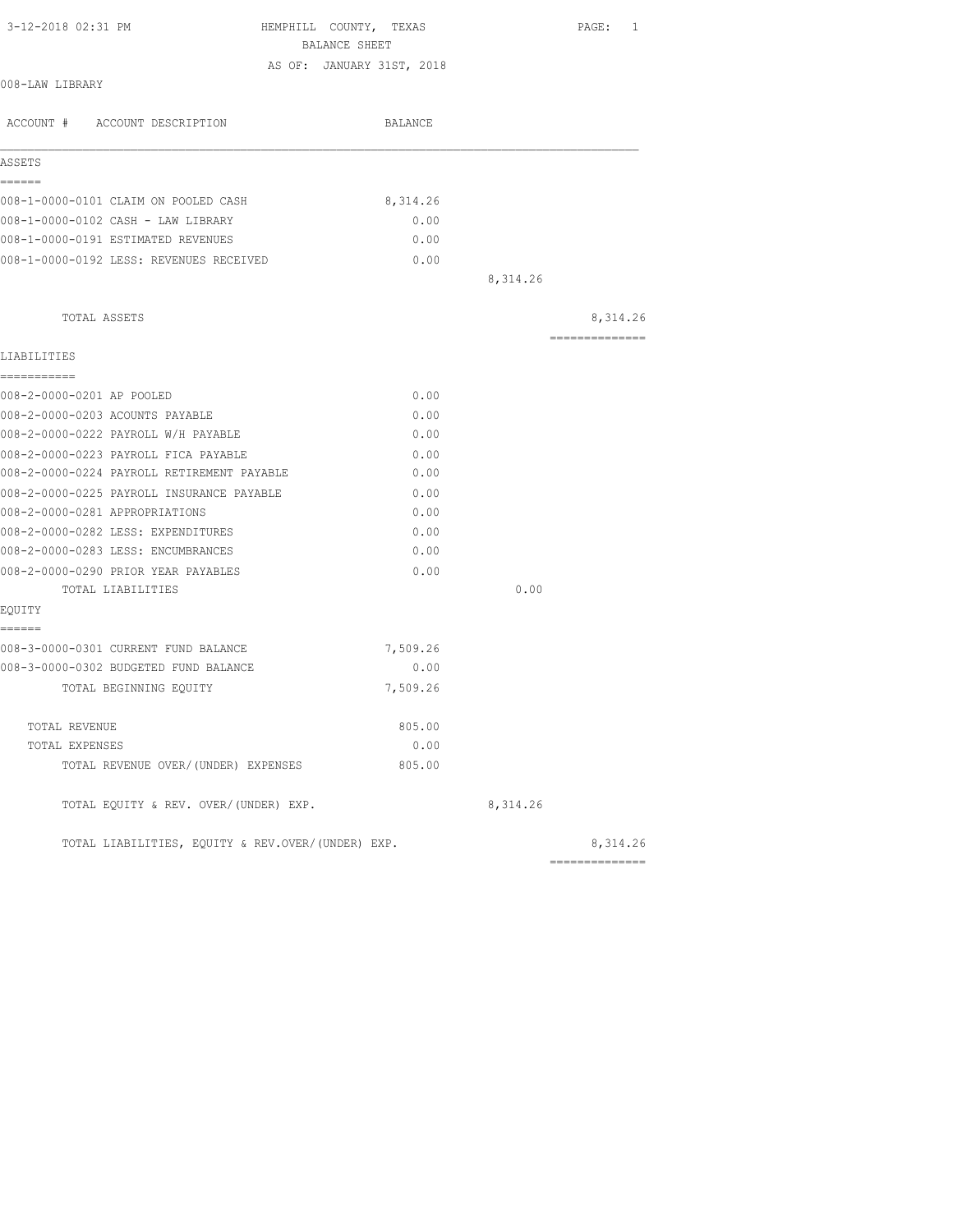| 3-12-2018 02:31 PM                                | HEMPHILL COUNTY, TEXAS<br>BALANCE SHEET |          | $\texttt{PAGE}$ :<br>1 |
|---------------------------------------------------|-----------------------------------------|----------|------------------------|
|                                                   | AS OF: JANUARY 31ST, 2018               |          |                        |
| 008-LAW LIBRARY                                   |                                         |          |                        |
| ACCOUNT # ACCOUNT DESCRIPTION                     | BALANCE                                 |          |                        |
| ASSETS                                            |                                         |          |                        |
| ======                                            |                                         |          |                        |
| 008-1-0000-0101 CLAIM ON POOLED CASH              | 8,314.26                                |          |                        |
| 008-1-0000-0102 CASH - LAW LIBRARY                | 0.00                                    |          |                        |
| 008-1-0000-0191 ESTIMATED REVENUES                | 0.00                                    |          |                        |
| 008-1-0000-0192 LESS: REVENUES RECEIVED           | 0.00                                    |          |                        |
|                                                   |                                         | 8,314.26 |                        |
| TOTAL ASSETS                                      |                                         |          | 8,314.26               |
| LIABILITIES                                       |                                         |          | ---------------        |
| ===========                                       |                                         |          |                        |
| 008-2-0000-0201 AP POOLED                         | 0.00                                    |          |                        |
| 008-2-0000-0203 ACOUNTS PAYABLE                   | 0.00                                    |          |                        |
| 008-2-0000-0222 PAYROLL W/H PAYABLE               | 0.00                                    |          |                        |
| 008-2-0000-0223 PAYROLL FICA PAYABLE              | 0.00                                    |          |                        |
| 008-2-0000-0224 PAYROLL RETIREMENT PAYABLE        | 0.00                                    |          |                        |
| 008-2-0000-0225 PAYROLL INSURANCE PAYABLE         | 0.00                                    |          |                        |
| 008-2-0000-0281 APPROPRIATIONS                    | 0.00                                    |          |                        |
| 008-2-0000-0282 LESS: EXPENDITURES                | 0.00                                    |          |                        |
| 008-2-0000-0283 LESS: ENCUMBRANCES                | 0.00                                    |          |                        |
| 008-2-0000-0290 PRIOR YEAR PAYABLES               | 0.00                                    |          |                        |
| TOTAL LIABILITIES                                 |                                         | 0.00     |                        |
| EQUITY                                            |                                         |          |                        |
| ------                                            |                                         |          |                        |
| 008-3-0000-0301 CURRENT FUND BALANCE              | 7,509.26                                |          |                        |
| 008-3-0000-0302 BUDGETED FUND BALANCE             | 0.00                                    |          |                        |
| TOTAL BEGINNING EQUITY                            | 7,509.26                                |          |                        |
| TOTAL REVENUE                                     | 805.00                                  |          |                        |
| TOTAL EXPENSES                                    | 0.00                                    |          |                        |
| TOTAL REVENUE OVER/(UNDER) EXPENSES               | 805.00                                  |          |                        |
| TOTAL EQUITY & REV. OVER/(UNDER) EXP.             |                                         | 8,314.26 |                        |
| TOTAL LIABILITIES, EQUITY & REV.OVER/(UNDER) EXP. |                                         |          | 8,314.26               |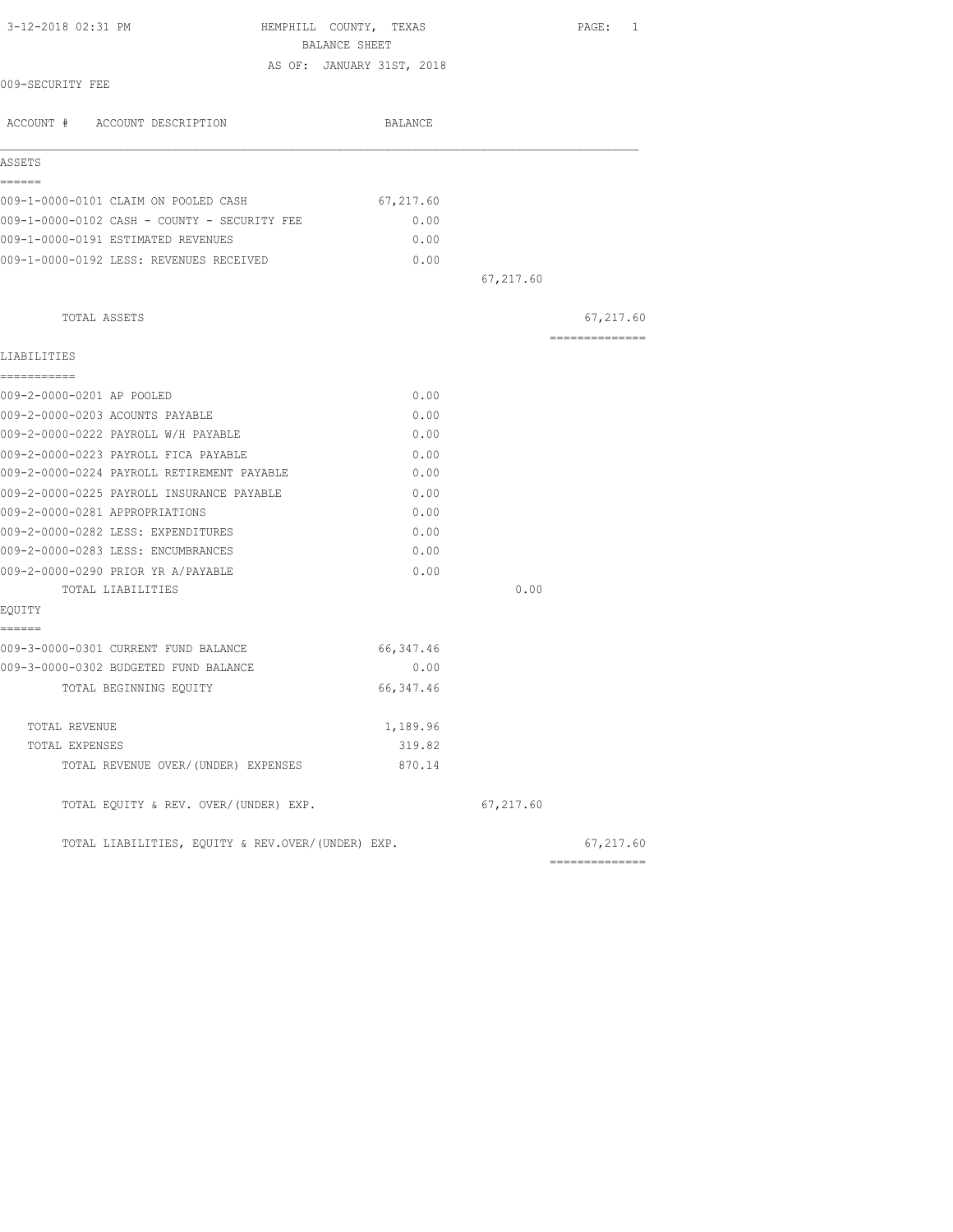| 3-12-2018 02:31 PM                                | HEMPHILL COUNTY, TEXAS<br>BALANCE SHEET | PAGE: 1        |
|---------------------------------------------------|-----------------------------------------|----------------|
|                                                   | AS OF: JANUARY 31ST, 2018               |                |
| 009-SECURITY FEE                                  |                                         |                |
| ACCOUNT # ACCOUNT DESCRIPTION                     | BALANCE                                 |                |
| ASSETS                                            |                                         |                |
| ------                                            |                                         |                |
| 009-1-0000-0101 CLAIM ON POOLED CASH              | 67,217.60                               |                |
| 009-1-0000-0102 CASH - COUNTY - SECURITY FEE      | 0.00                                    |                |
| 009-1-0000-0191 ESTIMATED REVENUES                | 0.00                                    |                |
| 009-1-0000-0192 LESS: REVENUES RECEIVED           | 0.00                                    |                |
|                                                   |                                         | 67,217.60      |
| TOTAL ASSETS                                      |                                         | 67,217.60      |
| LIABILITIES                                       |                                         | -------------- |
| -----------                                       |                                         |                |
| 009-2-0000-0201 AP POOLED                         | 0.00                                    |                |
| 009-2-0000-0203 ACOUNTS PAYABLE                   | 0.00                                    |                |
| 009-2-0000-0222 PAYROLL W/H PAYABLE               | 0.00                                    |                |
| 009-2-0000-0223 PAYROLL FICA PAYABLE              | 0.00                                    |                |
| 009-2-0000-0224 PAYROLL RETIREMENT PAYABLE        | 0.00                                    |                |
| 009-2-0000-0225 PAYROLL INSURANCE PAYABLE         | 0.00                                    |                |
| 009-2-0000-0281 APPROPRIATIONS                    | 0.00                                    |                |
| 009-2-0000-0282 LESS: EXPENDITURES                | 0.00                                    |                |
| 009-2-0000-0283 LESS: ENCUMBRANCES                | 0.00                                    |                |
| 009-2-0000-0290 PRIOR YR A/PAYABLE                | 0.00                                    |                |
| TOTAL LIABILITIES                                 |                                         | 0.00           |
| EQUITY<br>======                                  |                                         |                |
| 009-3-0000-0301 CURRENT FUND BALANCE              | 66, 347.46                              |                |
| 009-3-0000-0302 BUDGETED FUND BALANCE             | 0.00                                    |                |
| TOTAL BEGINNING EQUITY                            | 66, 347.46                              |                |
| TOTAL REVENUE                                     | 1,189.96                                |                |
| TOTAL EXPENSES                                    | 319.82                                  |                |
| TOTAL REVENUE OVER/(UNDER) EXPENSES               | 870.14                                  |                |
| TOTAL EQUITY & REV. OVER/(UNDER) EXP.             |                                         | 67,217.60      |
| TOTAL LIABILITIES, EOUITY & REV.OVER/(UNDER) EXP. |                                         | 67,217.60      |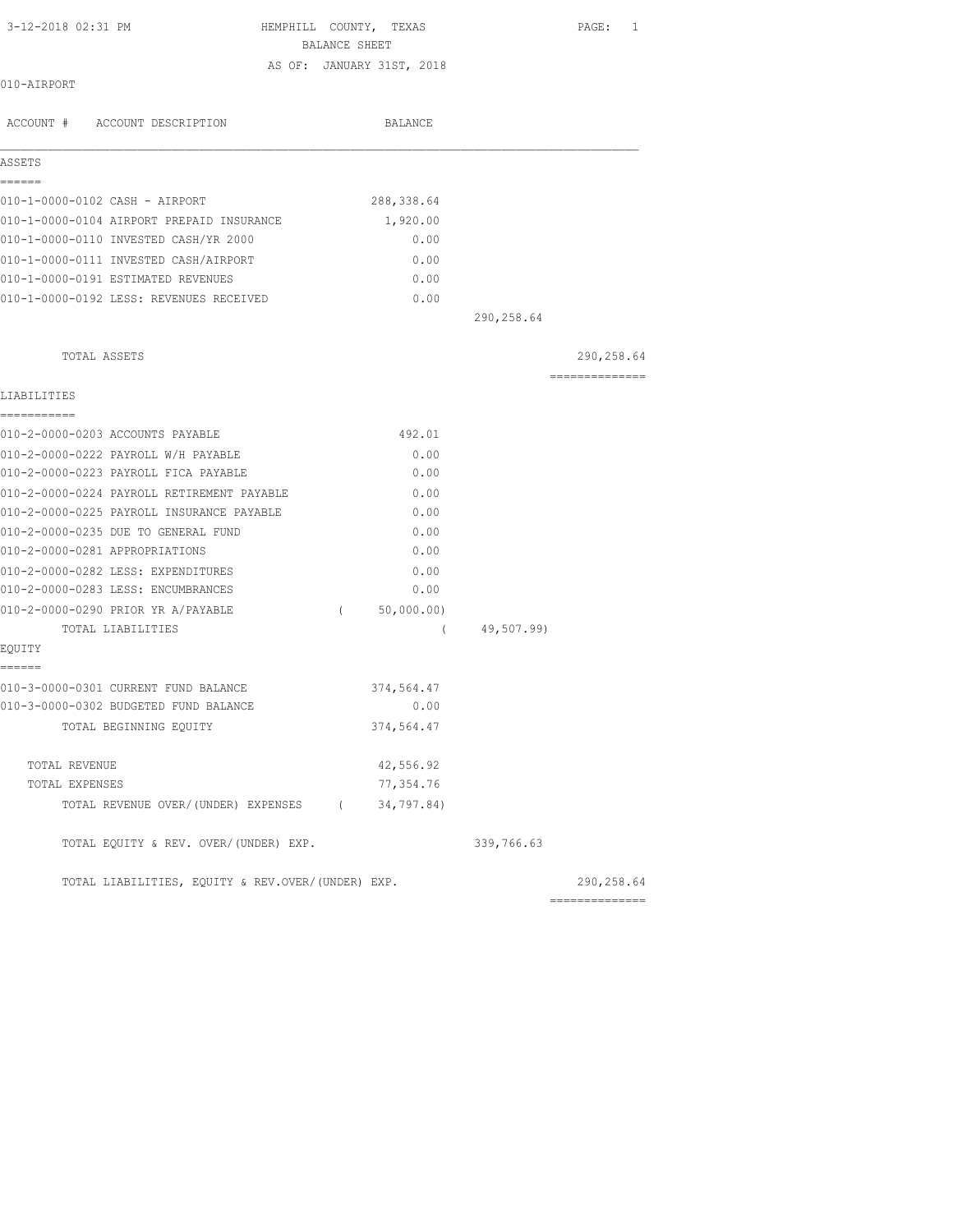HEMPHILL COUNTY, TEXAS PAGE: 1 BALANCE SHEET AS OF: JANUARY 31ST, 2018

010-AIRPORT

| ACCOUNT # ACCOUNT DESCRIPTION                     |          | BALANCE     |            |                 |
|---------------------------------------------------|----------|-------------|------------|-----------------|
| ASSETS                                            |          |             |            |                 |
| ======<br>010-1-0000-0102 CASH - AIRPORT          |          | 288, 338.64 |            |                 |
| 010-1-0000-0104 AIRPORT PREPAID INSURANCE         |          | 1,920.00    |            |                 |
| 010-1-0000-0110 INVESTED CASH/YR 2000             |          | 0.00        |            |                 |
| 010-1-0000-0111 INVESTED CASH/AIRPORT             |          | 0.00        |            |                 |
| 010-1-0000-0191 ESTIMATED REVENUES                |          | 0.00        |            |                 |
| 010-1-0000-0192 LESS: REVENUES RECEIVED           |          | 0.00        |            |                 |
|                                                   |          |             | 290,258.64 |                 |
| TOTAL ASSETS                                      |          |             |            | 290,258.64      |
| LIABILITIES                                       |          |             |            | --------------- |
| -----------<br>010-2-0000-0203 ACCOUNTS PAYABLE   |          | 492.01      |            |                 |
| 010-2-0000-0222 PAYROLL W/H PAYABLE               |          | 0.00        |            |                 |
| 010-2-0000-0223 PAYROLL FICA PAYABLE              |          | 0.00        |            |                 |
| 010-2-0000-0224 PAYROLL RETIREMENT PAYABLE        |          | 0.00        |            |                 |
| 010-2-0000-0225 PAYROLL INSURANCE PAYABLE         |          | 0.00        |            |                 |
| 010-2-0000-0235 DUE TO GENERAL FUND               |          | 0.00        |            |                 |
| 010-2-0000-0281 APPROPRIATIONS                    |          | 0.00        |            |                 |
| 010-2-0000-0282 LESS: EXPENDITURES                |          | 0.00        |            |                 |
| 010-2-0000-0283 LESS: ENCUMBRANCES                |          | 0.00        |            |                 |
| 010-2-0000-0290 PRIOR YR A/PAYABLE                | $\left($ | 50,000.00)  |            |                 |
| TOTAL LIABILITIES                                 |          | $\sqrt{2}$  | 49,507.99) |                 |
| EOUITY<br>======                                  |          |             |            |                 |
| 010-3-0000-0301 CURRENT FUND BALANCE              |          | 374,564.47  |            |                 |
| 010-3-0000-0302 BUDGETED FUND BALANCE             |          | 0.00        |            |                 |
| TOTAL BEGINNING EQUITY                            |          | 374,564.47  |            |                 |
| TOTAL REVENUE                                     |          | 42,556.92   |            |                 |
| TOTAL EXPENSES                                    |          | 77,354.76   |            |                 |
| TOTAL REVENUE OVER/(UNDER) EXPENSES (34,797.84)   |          |             |            |                 |
| TOTAL EQUITY & REV. OVER/(UNDER) EXP.             |          |             | 339,766.63 |                 |
| TOTAL LIABILITIES, EQUITY & REV.OVER/(UNDER) EXP. |          |             |            | 290,258.64      |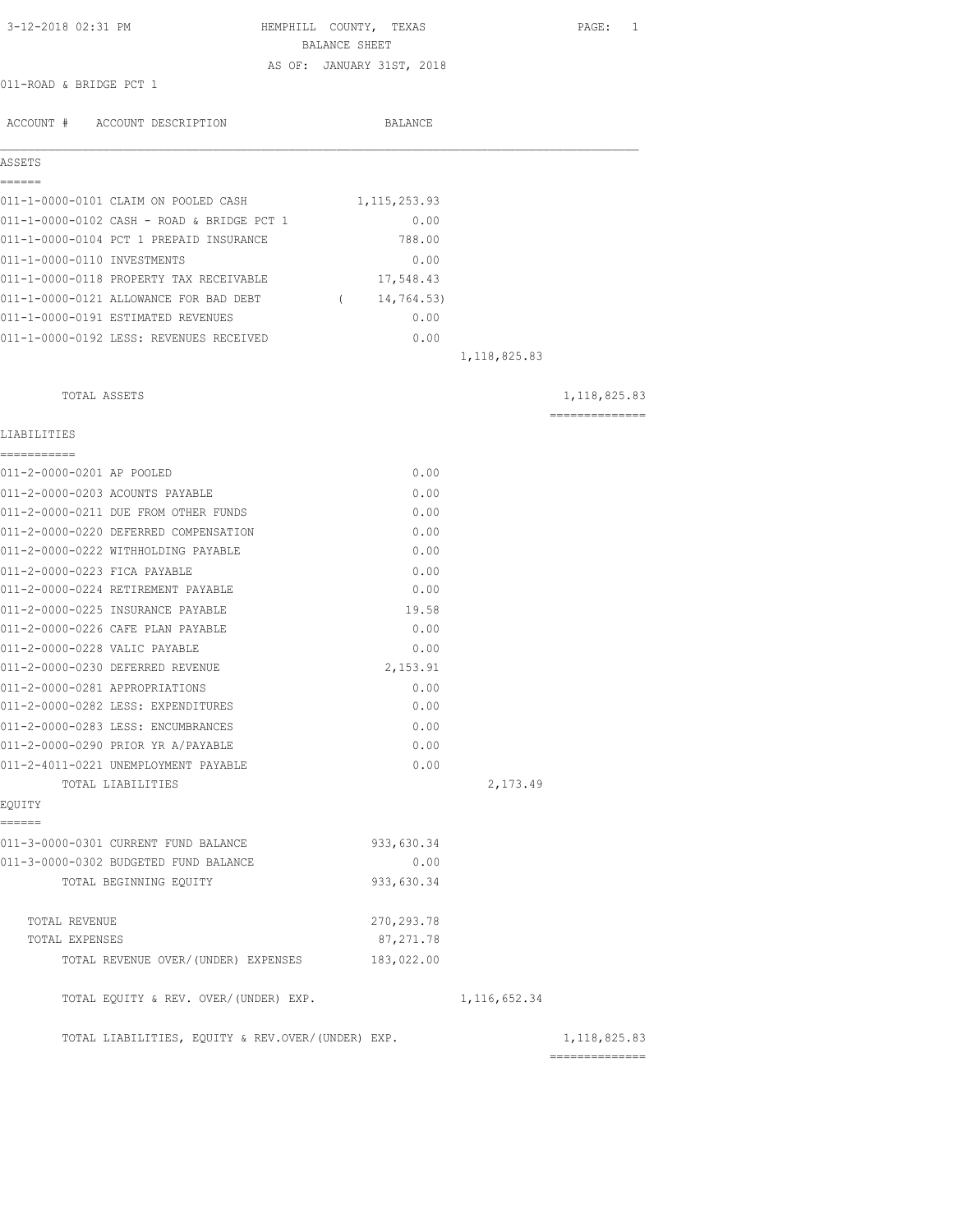| 3-12-2018 02:31 PM                                                           | HEMPHILL COUNTY, TEXAS<br>BALANCE SHEET |                | PAGE: 1        |
|------------------------------------------------------------------------------|-----------------------------------------|----------------|----------------|
| 011-ROAD & BRIDGE PCT 1                                                      | AS OF: JANUARY 31ST, 2018               |                |                |
|                                                                              |                                         |                |                |
| ACCOUNT # ACCOUNT DESCRIPTION                                                | BALANCE                                 |                |                |
| ASSETS                                                                       |                                         |                |                |
| ======                                                                       |                                         |                |                |
| 011-1-0000-0101 CLAIM ON POOLED CASH                                         | 1,115,253.93                            |                |                |
| 011-1-0000-0102 CASH - ROAD & BRIDGE PCT 1                                   | 0.00                                    |                |                |
| 011-1-0000-0104 PCT 1 PREPAID INSURANCE                                      | 788.00                                  |                |                |
| 011-1-0000-0110 INVESTMENTS<br>011-1-0000-0118 PROPERTY TAX RECEIVABLE       | 0.00                                    |                |                |
|                                                                              | 17,548.43                               |                |                |
| 011-1-0000-0121 ALLOWANCE FOR BAD DEBT<br>011-1-0000-0191 ESTIMATED REVENUES | (14, 764.53)<br>0.00                    |                |                |
| 011-1-0000-0192 LESS: REVENUES RECEIVED                                      | 0.00                                    |                |                |
|                                                                              |                                         |                |                |
|                                                                              |                                         | 1, 118, 825.83 |                |
| TOTAL ASSETS                                                                 |                                         |                | 1,118,825.83   |
| LIABILITIES                                                                  |                                         |                | ============== |
| ===========<br>011-2-0000-0201 AP POOLED                                     | 0.00                                    |                |                |
| 011-2-0000-0203 ACOUNTS PAYABLE                                              | 0.00                                    |                |                |
| 011-2-0000-0211 DUE FROM OTHER FUNDS                                         | 0.00                                    |                |                |
| 011-2-0000-0220 DEFERRED COMPENSATION                                        | 0.00                                    |                |                |
| 011-2-0000-0222 WITHHOLDING PAYABLE                                          | 0.00                                    |                |                |
| 011-2-0000-0223 FICA PAYABLE                                                 | 0.00                                    |                |                |
| 011-2-0000-0224 RETIREMENT PAYABLE                                           | 0.00                                    |                |                |
| 011-2-0000-0225 INSURANCE PAYABLE                                            | 19.58                                   |                |                |
| 011-2-0000-0226 CAFE PLAN PAYABLE                                            | 0.00                                    |                |                |
| 011-2-0000-0228 VALIC PAYABLE                                                | 0.00                                    |                |                |
| 011-2-0000-0230 DEFERRED REVENUE                                             | 2,153.91                                |                |                |
| 011-2-0000-0281 APPROPRIATIONS                                               | 0.00                                    |                |                |
| 011-2-0000-0282 LESS: EXPENDITURES                                           | 0.00                                    |                |                |
| 011-2-0000-0283 LESS: ENCUMBRANCES                                           | 0.00                                    |                |                |
| 011-2-0000-0290 PRIOR YR A/PAYABLE                                           | 0.00                                    |                |                |
| 011-2-4011-0221 UNEMPLOYMENT PAYABLE                                         | 0.00                                    |                |                |
| TOTAL LIABILITIES<br>EQUITY                                                  |                                         | 2,173.49       |                |
| ------                                                                       |                                         |                |                |
| 011-3-0000-0301 CURRENT FUND BALANCE                                         | 933,630.34                              |                |                |
| 011-3-0000-0302 BUDGETED FUND BALANCE                                        | 0.00                                    |                |                |
| TOTAL BEGINNING EQUITY                                                       | 933,630.34                              |                |                |
| TOTAL REVENUE                                                                | 270, 293.78                             |                |                |
| TOTAL EXPENSES                                                               | 87, 271.78                              |                |                |
| TOTAL REVENUE OVER/(UNDER) EXPENSES                                          | 183,022.00                              |                |                |
| TOTAL EQUITY & REV. OVER/(UNDER) EXP.                                        |                                         | 1, 116, 652.34 |                |
| TOTAL LIABILITIES, EQUITY & REV.OVER/(UNDER) EXP.                            |                                         | ============== | 1, 118, 825.83 |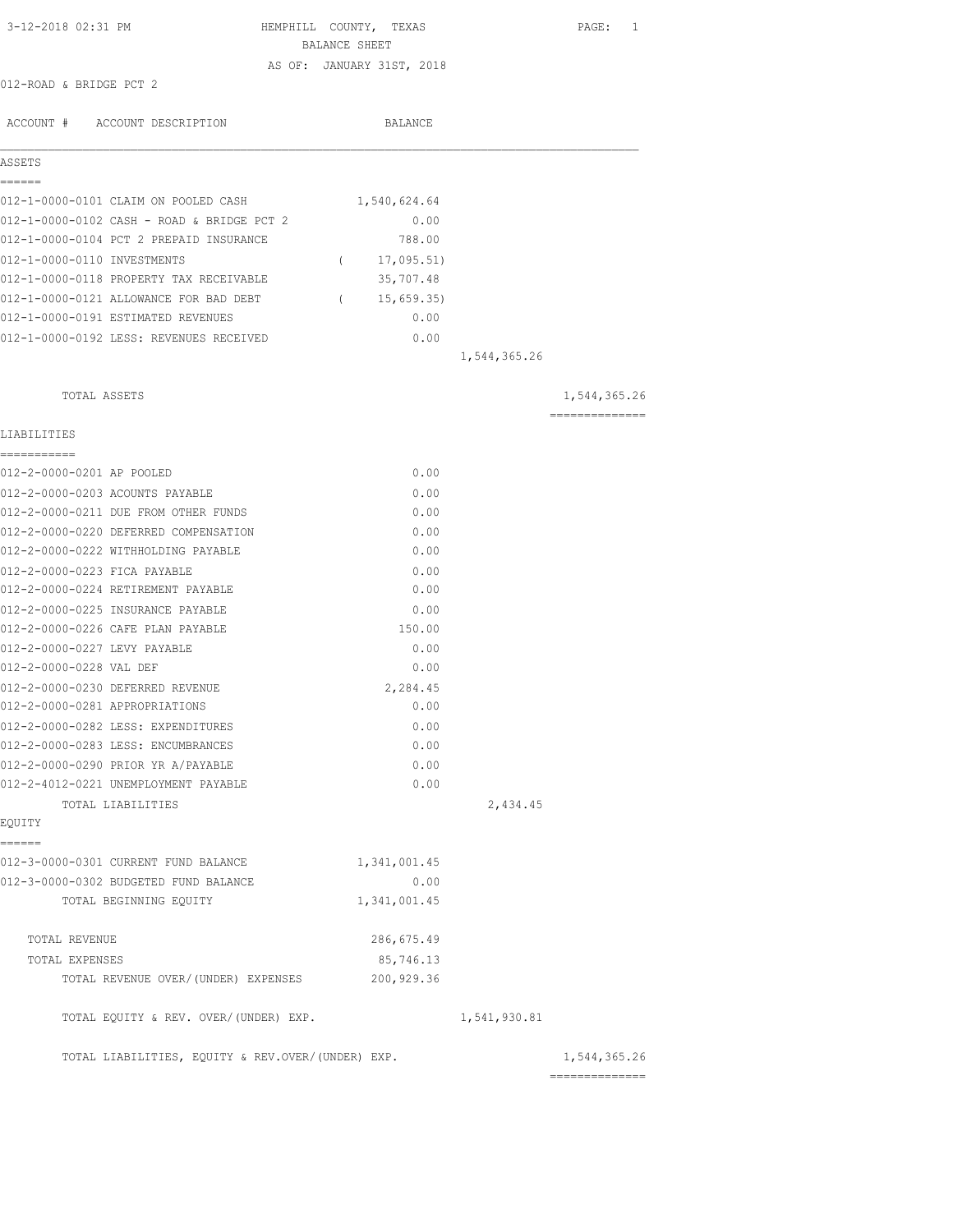| 3-12-2018 02:31 PM                                                                 | HEMPHILL COUNTY, TEXAS<br>BALANCE SHEET |              | PAGE: 1                        |
|------------------------------------------------------------------------------------|-----------------------------------------|--------------|--------------------------------|
|                                                                                    | AS OF: JANUARY 31ST, 2018               |              |                                |
| 012-ROAD & BRIDGE PCT 2                                                            |                                         |              |                                |
| ACCOUNT # ACCOUNT DESCRIPTION                                                      | <b>BALANCE</b>                          |              |                                |
| ASSETS                                                                             |                                         |              |                                |
| ======                                                                             |                                         |              |                                |
| 012-1-0000-0101 CLAIM ON POOLED CASH<br>012-1-0000-0102 CASH - ROAD & BRIDGE PCT 2 | 1,540,624.64<br>0.00                    |              |                                |
| 012-1-0000-0104 PCT 2 PREPAID INSURANCE                                            | 788.00                                  |              |                                |
| 012-1-0000-0110 INVESTMENTS                                                        | (17, 095.51)                            |              |                                |
| 012-1-0000-0118 PROPERTY TAX RECEIVABLE                                            | 35,707.48                               |              |                                |
| 012-1-0000-0121 ALLOWANCE FOR BAD DEBT                                             | 15,659.35<br>$\left($                   |              |                                |
| 012-1-0000-0191 ESTIMATED REVENUES                                                 | 0.00                                    |              |                                |
| 012-1-0000-0192 LESS: REVENUES RECEIVED                                            | 0.00                                    |              |                                |
|                                                                                    |                                         | 1,544,365.26 |                                |
|                                                                                    |                                         |              |                                |
| TOTAL ASSETS                                                                       |                                         |              | 1,544,365.26<br>============== |
| LIABILITIES                                                                        |                                         |              |                                |
| ===========<br>012-2-0000-0201 AP POOLED                                           | 0.00                                    |              |                                |
| 012-2-0000-0203 ACOUNTS PAYABLE                                                    | 0.00                                    |              |                                |
| 012-2-0000-0211 DUE FROM OTHER FUNDS                                               | 0.00                                    |              |                                |
| 012-2-0000-0220 DEFERRED COMPENSATION                                              | 0.00                                    |              |                                |
| 012-2-0000-0222 WITHHOLDING PAYABLE                                                | 0.00                                    |              |                                |
| 012-2-0000-0223 FICA PAYABLE                                                       | 0.00                                    |              |                                |
| 012-2-0000-0224 RETIREMENT PAYABLE                                                 | 0.00                                    |              |                                |
| 012-2-0000-0225 INSURANCE PAYABLE                                                  | 0.00                                    |              |                                |
| 012-2-0000-0226 CAFE PLAN PAYABLE                                                  | 150.00                                  |              |                                |
| 012-2-0000-0227 LEVY PAYABLE                                                       | 0.00                                    |              |                                |
| 012-2-0000-0228 VAL DEF                                                            | 0.00                                    |              |                                |
| 012-2-0000-0230 DEFERRED REVENUE                                                   | 2,284.45                                |              |                                |
| 012-2-0000-0281 APPROPRIATIONS                                                     | 0.00                                    |              |                                |
| 012-2-0000-0282 LESS: EXPENDITURES                                                 | 0.00                                    |              |                                |
| 012-2-0000-0283 LESS: ENCUMBRANCES                                                 | 0.00                                    |              |                                |
| 012-2-0000-0290 PRIOR YR A/PAYABLE                                                 | 0.00                                    |              |                                |
| 012-2-4012-0221 UNEMPLOYMENT PAYABLE                                               | 0.00                                    |              |                                |
| TOTAL LIABILITIES                                                                  |                                         | 2,434.45     |                                |
| EQUITY<br>------                                                                   |                                         |              |                                |
| 012-3-0000-0301 CURRENT FUND BALANCE                                               | 1,341,001.45                            |              |                                |
| 012-3-0000-0302 BUDGETED FUND BALANCE                                              | 0.00                                    |              |                                |
| TOTAL BEGINNING EQUITY                                                             | 1,341,001.45                            |              |                                |
| TOTAL REVENUE                                                                      | 286,675.49                              |              |                                |
| TOTAL EXPENSES                                                                     | 85,746.13                               |              |                                |
| TOTAL REVENUE OVER/(UNDER) EXPENSES                                                | 200,929.36                              |              |                                |
| TOTAL EQUITY & REV. OVER/(UNDER) EXP.                                              |                                         | 1,541,930.81 |                                |
| TOTAL LIABILITIES, EQUITY & REV.OVER/(UNDER) EXP.                                  |                                         |              | 1,544,365.26<br>============== |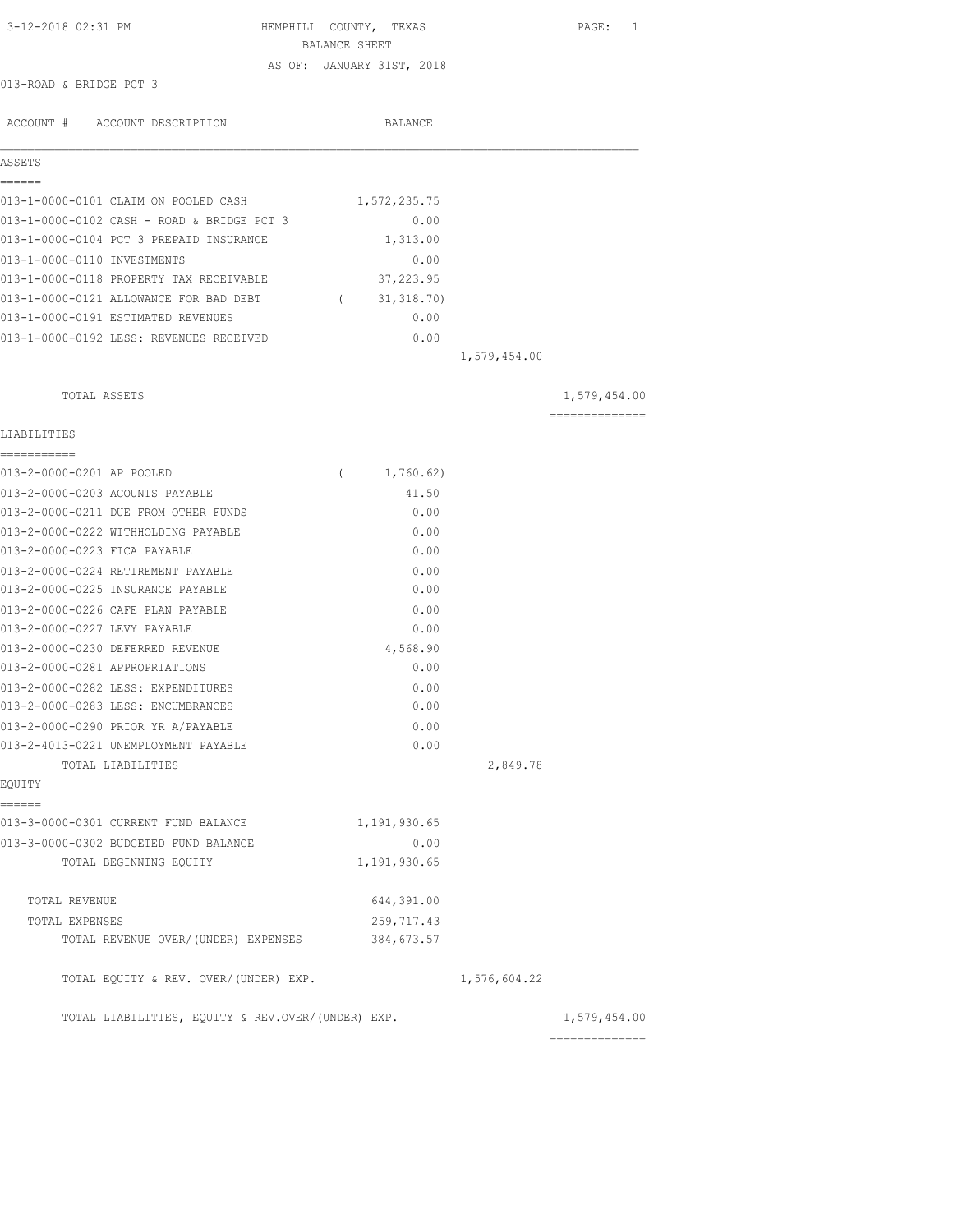| 3-12-2018 02:31 PM                                 | HEMPHILL COUNTY, TEXAS<br>BALANCE SHEET |              | PAGE: 1      |
|----------------------------------------------------|-----------------------------------------|--------------|--------------|
|                                                    | AS OF: JANUARY 31ST, 2018               |              |              |
| 013-ROAD & BRIDGE PCT 3                            |                                         |              |              |
| ACCOUNT # ACCOUNT DESCRIPTION                      | BALANCE                                 |              |              |
| ASSETS                                             |                                         |              |              |
| ======                                             |                                         |              |              |
| 013-1-0000-0101 CLAIM ON POOLED CASH               | 1,572,235.75                            |              |              |
| 013-1-0000-0102 CASH - ROAD & BRIDGE PCT 3         | 0.00                                    |              |              |
| 013-1-0000-0104 PCT 3 PREPAID INSURANCE            | 1,313.00                                |              |              |
| 013-1-0000-0110 INVESTMENTS                        | 0.00                                    |              |              |
| 013-1-0000-0118 PROPERTY TAX RECEIVABLE            | 37,223.95                               |              |              |
| 013-1-0000-0121 ALLOWANCE FOR BAD DEBT (31,318.70) |                                         |              |              |
| 013-1-0000-0191 ESTIMATED REVENUES                 | 0.00                                    |              |              |
| 013-1-0000-0192 LESS: REVENUES RECEIVED            | 0.00                                    |              |              |
|                                                    |                                         | 1,579,454.00 |              |
| TOTAL ASSETS                                       |                                         |              | 1,579,454.00 |
| LIABILITIES                                        |                                         |              |              |
| -----------<br>013-2-0000-0201 AP POOLED           | 1,760.62)<br>$\left($                   |              |              |
| 013-2-0000-0203 ACOUNTS PAYABLE                    | 41.50                                   |              |              |
| 013-2-0000-0211 DUE FROM OTHER FUNDS               | 0.00                                    |              |              |
| 013-2-0000-0222 WITHHOLDING PAYABLE                | 0.00                                    |              |              |
| 013-2-0000-0223 FICA PAYABLE                       | 0.00                                    |              |              |
| 013-2-0000-0224 RETIREMENT PAYABLE                 | 0.00                                    |              |              |
| 013-2-0000-0225 INSURANCE PAYABLE                  | 0.00                                    |              |              |
| 013-2-0000-0226 CAFE PLAN PAYABLE                  | 0.00                                    |              |              |
| 013-2-0000-0227 LEVY PAYABLE                       | 0.00                                    |              |              |
| 013-2-0000-0230 DEFERRED REVENUE                   | 4,568.90                                |              |              |
| 013-2-0000-0281 APPROPRIATIONS                     | 0.00                                    |              |              |
| 013-2-0000-0282 LESS: EXPENDITURES                 | 0.00                                    |              |              |
| 013-2-0000-0283 LESS: ENCUMBRANCES                 | 0.00                                    |              |              |
| 013-2-0000-0290 PRIOR YR A/PAYABLE                 | 0.00                                    |              |              |
| 013-2-4013-0221 UNEMPLOYMENT PAYABLE               | 0.00                                    |              |              |
| TOTAL LIABILITIES                                  |                                         | 2,849.78     |              |
| EQUITY                                             |                                         |              |              |
| ------<br>013-3-0000-0301 CURRENT FUND BALANCE     | 1,191,930.65                            |              |              |
| 013-3-0000-0302 BUDGETED FUND BALANCE              | 0.00                                    |              |              |
| TOTAL BEGINNING EQUITY                             | 1,191,930.65                            |              |              |
| TOTAL REVENUE                                      | 644,391.00                              |              |              |
| TOTAL EXPENSES                                     | 259,717.43                              |              |              |
| TOTAL REVENUE OVER/(UNDER) EXPENSES                | 384,673.57                              |              |              |
| TOTAL EQUITY & REV. OVER/(UNDER) EXP.              |                                         | 1,576,604.22 |              |
| TOTAL LIABILITIES, EQUITY & REV.OVER/(UNDER) EXP.  |                                         |              | 1,579,454.00 |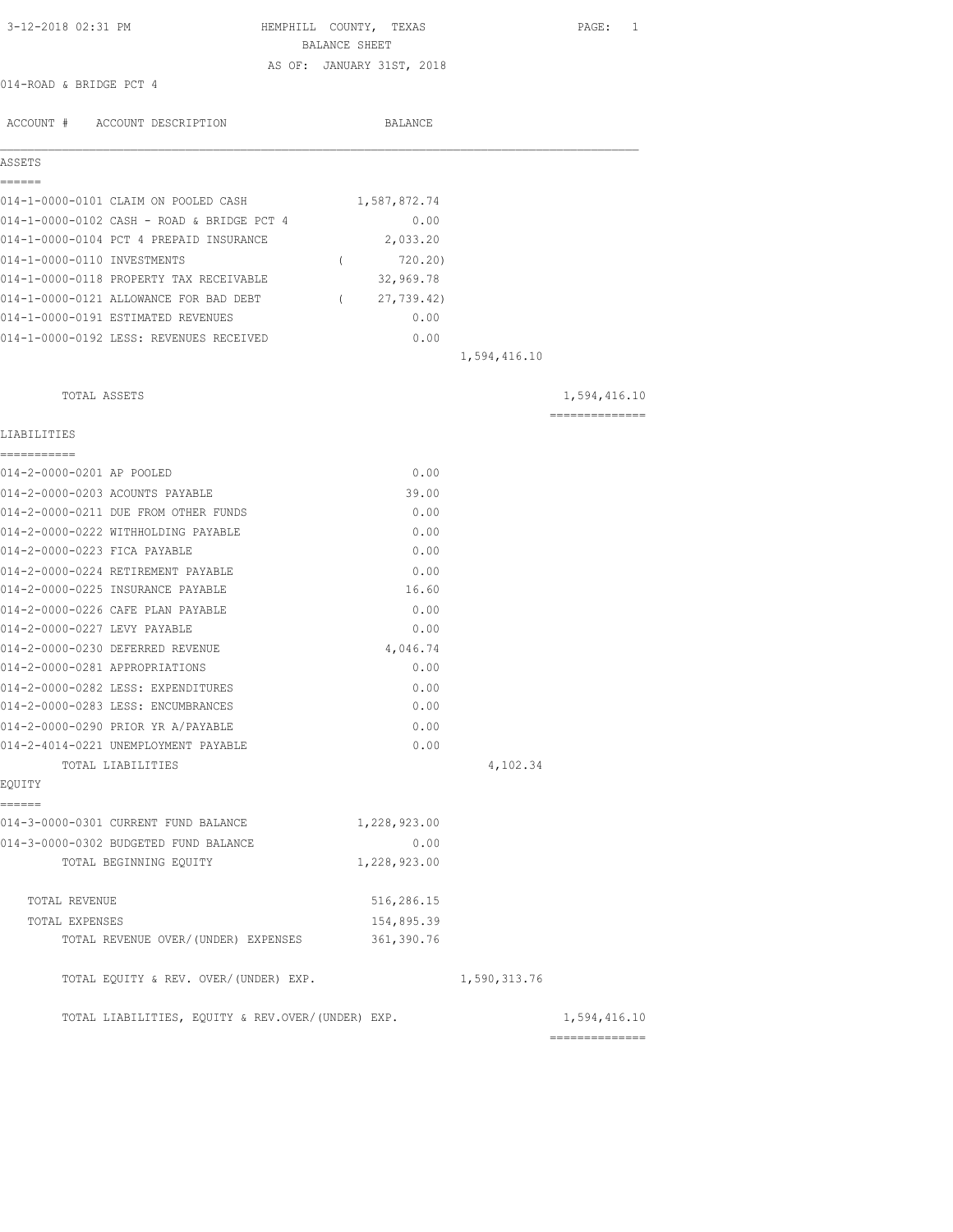| 3-12-2018 02:31 PM                                | HEMPHILL COUNTY, TEXAS<br>BALANCE SHEET |              | PAGE: 1                        |
|---------------------------------------------------|-----------------------------------------|--------------|--------------------------------|
|                                                   | AS OF: JANUARY 31ST, 2018               |              |                                |
| 014-ROAD & BRIDGE PCT 4                           |                                         |              |                                |
| ACCOUNT # ACCOUNT DESCRIPTION                     | BALANCE                                 |              |                                |
| ASSETS                                            |                                         |              |                                |
| ------<br>014-1-0000-0101 CLAIM ON POOLED CASH    | 1,587,872.74                            |              |                                |
| 014-1-0000-0102 CASH - ROAD & BRIDGE PCT 4        | 0.00                                    |              |                                |
| 014-1-0000-0104 PCT 4 PREPAID INSURANCE           | 2,033.20                                |              |                                |
| 014-1-0000-0110 INVESTMENTS                       | 720.20)<br>$\left($                     |              |                                |
| 014-1-0000-0118 PROPERTY TAX RECEIVABLE           | 32,969.78                               |              |                                |
| 014-1-0000-0121 ALLOWANCE FOR BAD DEBT            | 27,739.42)<br>$\sqrt{2}$                |              |                                |
| 014-1-0000-0191 ESTIMATED REVENUES                | 0.00                                    |              |                                |
| 014-1-0000-0192 LESS: REVENUES RECEIVED           | 0.00                                    |              |                                |
|                                                   |                                         | 1,594,416.10 |                                |
|                                                   |                                         |              |                                |
| TOTAL ASSETS                                      |                                         |              | 1,594,416.10<br>============== |
| LIABILITIES                                       |                                         |              |                                |
| ===========<br>014-2-0000-0201 AP POOLED          | 0.00                                    |              |                                |
| 014-2-0000-0203 ACOUNTS PAYABLE                   | 39.00                                   |              |                                |
| 014-2-0000-0211 DUE FROM OTHER FUNDS              | 0.00                                    |              |                                |
| 014-2-0000-0222 WITHHOLDING PAYABLE               | 0.00                                    |              |                                |
| 014-2-0000-0223 FICA PAYABLE                      | 0.00                                    |              |                                |
| 014-2-0000-0224 RETIREMENT PAYABLE                | 0.00                                    |              |                                |
| 014-2-0000-0225 INSURANCE PAYABLE                 | 16.60                                   |              |                                |
| 014-2-0000-0226 CAFE PLAN PAYABLE                 | 0.00                                    |              |                                |
| 014-2-0000-0227 LEVY PAYABLE                      | 0.00                                    |              |                                |
| 014-2-0000-0230 DEFERRED REVENUE                  | 4,046.74                                |              |                                |
| 014-2-0000-0281 APPROPRIATIONS                    | 0.00                                    |              |                                |
| 014-2-0000-0282 LESS: EXPENDITURES                | 0.00                                    |              |                                |
| 014-2-0000-0283 LESS: ENCUMBRANCES                | 0.00                                    |              |                                |
| 014-2-0000-0290 PRIOR YR A/PAYABLE                | 0.00                                    |              |                                |
| 014-2-4014-0221 UNEMPLOYMENT PAYABLE              | 0.00                                    |              |                                |
| TOTAL LIABILITIES                                 |                                         | 4,102.34     |                                |
| EOUITY<br>======                                  |                                         |              |                                |
| 014-3-0000-0301 CURRENT FUND BALANCE              | 1,228,923.00                            |              |                                |
| 014-3-0000-0302 BUDGETED FUND BALANCE             | 0.00                                    |              |                                |
| TOTAL BEGINNING EQUITY                            | 1,228,923.00                            |              |                                |
| TOTAL REVENUE                                     | 516,286.15                              |              |                                |
| TOTAL EXPENSES                                    | 154,895.39                              |              |                                |
| TOTAL REVENUE OVER/(UNDER) EXPENSES               | 361,390.76                              |              |                                |
| TOTAL EQUITY & REV. OVER/(UNDER) EXP.             |                                         | 1,590,313.76 |                                |
| TOTAL LIABILITIES, EQUITY & REV.OVER/(UNDER) EXP. |                                         |              | 1,594,416.10                   |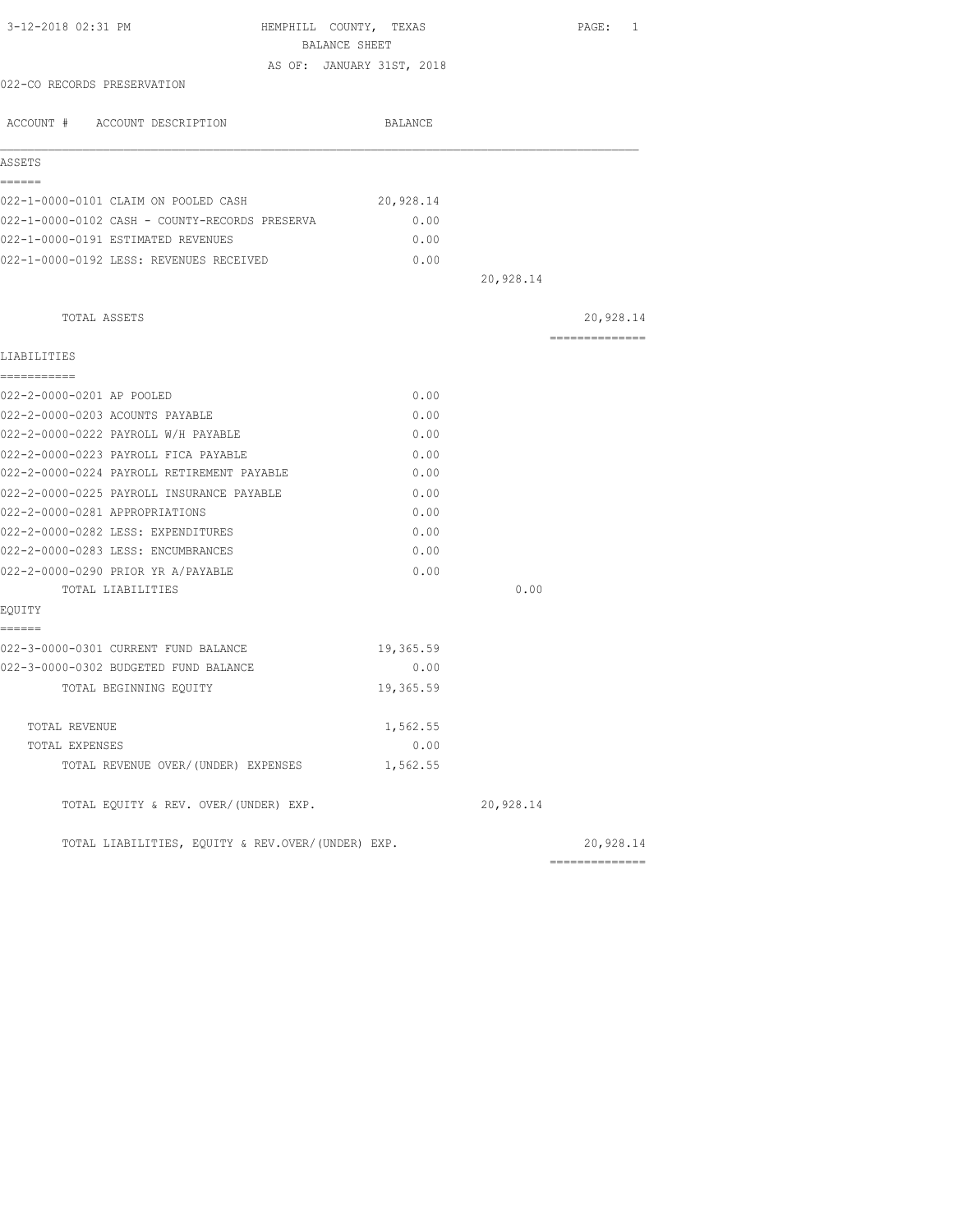| BALANCE SHEET<br>AS OF: JANUARY 31ST, 2018        |           |           |                |
|---------------------------------------------------|-----------|-----------|----------------|
|                                                   |           |           |                |
|                                                   |           |           |                |
| 022-CO RECORDS PRESERVATION                       |           |           |                |
| ACCOUNT # ACCOUNT DESCRIPTION                     | BALANCE   |           |                |
| ASSETS                                            |           |           |                |
| ======<br>022-1-0000-0101 CLAIM ON POOLED CASH    | 20,928.14 |           |                |
| 022-1-0000-0102 CASH - COUNTY-RECORDS PRESERVA    | 0.00      |           |                |
| 022-1-0000-0191 ESTIMATED REVENUES                | 0.00      |           |                |
| 022-1-0000-0192 LESS: REVENUES RECEIVED           | 0.00      |           |                |
|                                                   |           | 20,928.14 |                |
| TOTAL ASSETS                                      |           |           | 20,928.14      |
| LIABILITIES                                       |           |           | ============== |
| ------------                                      |           |           |                |
| 022-2-0000-0201 AP POOLED                         | 0.00      |           |                |
| 022-2-0000-0203 ACOUNTS PAYABLE                   | 0.00      |           |                |
| 022-2-0000-0222 PAYROLL W/H PAYABLE               | 0.00      |           |                |
| 022-2-0000-0223 PAYROLL FICA PAYABLE              | 0.00      |           |                |
| 022-2-0000-0224 PAYROLL RETIREMENT PAYABLE        | 0.00      |           |                |
| 022-2-0000-0225 PAYROLL INSURANCE PAYABLE         | 0.00      |           |                |
| 022-2-0000-0281 APPROPRIATIONS                    | 0.00      |           |                |
| 022-2-0000-0282 LESS: EXPENDITURES                | 0.00      |           |                |
| 022-2-0000-0283 LESS: ENCUMBRANCES                | 0.00      |           |                |
| 022-2-0000-0290 PRIOR YR A/PAYABLE                | 0.00      |           |                |
| TOTAL LIABILITIES                                 |           | 0.00      |                |
| EQUITY                                            |           |           |                |
| ======<br>022-3-0000-0301 CURRENT FUND BALANCE    | 19,365.59 |           |                |
| 022-3-0000-0302 BUDGETED FUND BALANCE             | 0.00      |           |                |
| TOTAL BEGINNING EQUITY                            | 19,365.59 |           |                |
| TOTAL REVENUE                                     | 1,562.55  |           |                |
| TOTAL EXPENSES                                    | 0.00      |           |                |
| TOTAL REVENUE OVER/(UNDER) EXPENSES               | 1,562.55  |           |                |
| TOTAL EQUITY & REV. OVER/(UNDER) EXP.             |           | 20,928.14 |                |
| TOTAL LIABILITIES, EQUITY & REV.OVER/(UNDER) EXP. |           |           | 20,928.14      |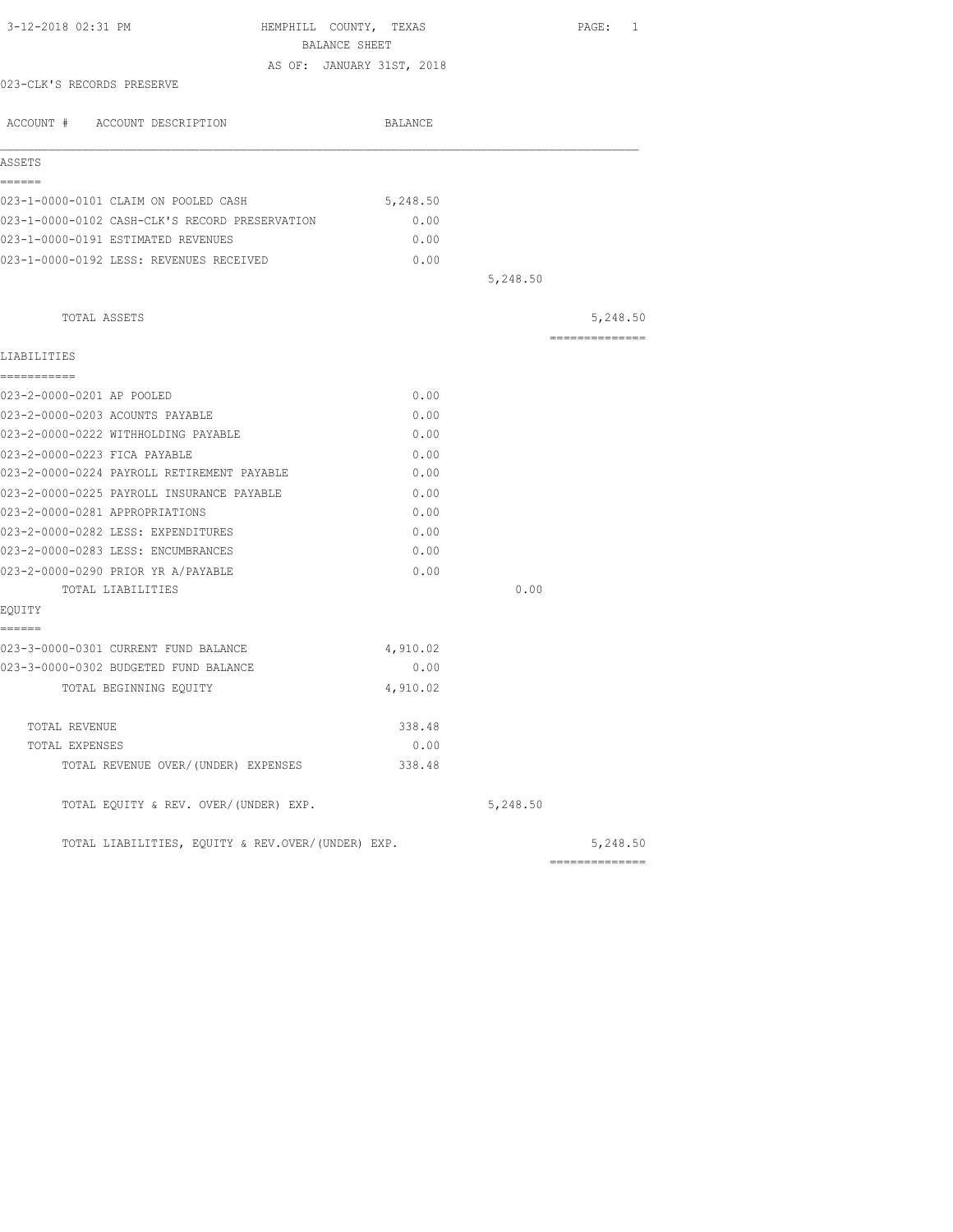|                                                   | BALANCE SHEET             |          |                            |
|---------------------------------------------------|---------------------------|----------|----------------------------|
|                                                   |                           |          |                            |
|                                                   | AS OF: JANUARY 31ST, 2018 |          |                            |
| 023-CLK'S RECORDS PRESERVE                        |                           |          |                            |
| ACCOUNT # ACCOUNT DESCRIPTION                     | BALANCE                   |          |                            |
| ASSETS                                            |                           |          |                            |
| ======<br>023-1-0000-0101 CLAIM ON POOLED CASH    | 5,248.50                  |          |                            |
| 023-1-0000-0102 CASH-CLK'S RECORD PRESERVATION    | 0.00                      |          |                            |
| 023-1-0000-0191 ESTIMATED REVENUES                | 0.00                      |          |                            |
| 023-1-0000-0192 LESS: REVENUES RECEIVED           | 0.00                      |          |                            |
|                                                   |                           | 5,248.50 |                            |
|                                                   |                           |          |                            |
| TOTAL ASSETS                                      |                           |          | 5,248.50<br>-------------- |
| LIABILITIES                                       |                           |          |                            |
| ===========                                       |                           |          |                            |
| 023-2-0000-0201 AP POOLED                         | 0.00                      |          |                            |
| 023-2-0000-0203 ACOUNTS PAYABLE                   | 0.00                      |          |                            |
| 023-2-0000-0222 WITHHOLDING PAYABLE               | 0.00                      |          |                            |
| 023-2-0000-0223 FICA PAYABLE                      | 0.00                      |          |                            |
| 023-2-0000-0224 PAYROLL RETIREMENT PAYABLE        | 0.00                      |          |                            |
| 023-2-0000-0225 PAYROLL INSURANCE PAYABLE         | 0.00                      |          |                            |
| 023-2-0000-0281 APPROPRIATIONS                    | 0.00                      |          |                            |
| 023-2-0000-0282 LESS: EXPENDITURES                | 0.00                      |          |                            |
| 023-2-0000-0283 LESS: ENCUMBRANCES                | 0.00                      |          |                            |
| 023-2-0000-0290 PRIOR YR A/PAYABLE                | 0.00                      |          |                            |
| TOTAL LIABILITIES                                 |                           | 0.00     |                            |
| EOUITY                                            |                           |          |                            |
| ======                                            |                           |          |                            |
| 023-3-0000-0301 CURRENT FUND BALANCE              | 4,910.02                  |          |                            |
| 023-3-0000-0302 BUDGETED FUND BALANCE             | 0.00                      |          |                            |
| TOTAL BEGINNING EQUITY                            | 4,910.02                  |          |                            |
| TOTAL REVENUE                                     | 338.48                    |          |                            |
| TOTAL EXPENSES                                    | 0.00                      |          |                            |
| TOTAL REVENUE OVER/(UNDER) EXPENSES               | 338.48                    |          |                            |
| TOTAL EQUITY & REV. OVER/(UNDER) EXP.             |                           | 5,248.50 |                            |
| TOTAL LIABILITIES, EQUITY & REV.OVER/(UNDER) EXP. |                           |          | 5,248.50                   |
|                                                   |                           |          | ==============             |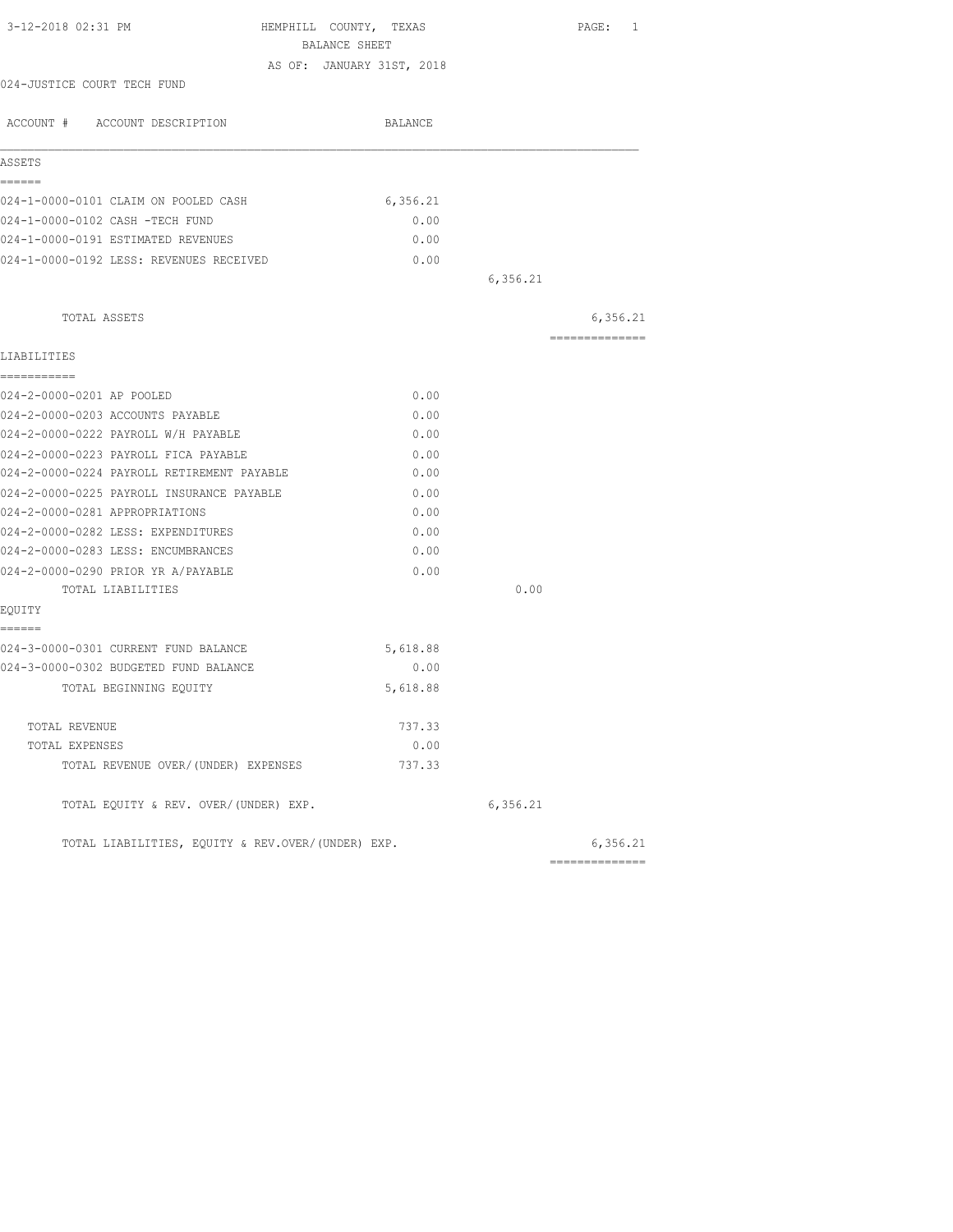| 3-12-2018 02:31 PM                                | HEMPHILL COUNTY, TEXAS<br>BALANCE SHEET |          | PAGE: 1        |
|---------------------------------------------------|-----------------------------------------|----------|----------------|
|                                                   | AS OF: JANUARY 31ST, 2018               |          |                |
| 024-JUSTICE COURT TECH FUND                       |                                         |          |                |
|                                                   |                                         |          |                |
| ACCOUNT # ACCOUNT DESCRIPTION                     | BALANCE                                 |          |                |
| ASSETS                                            |                                         |          |                |
| ------                                            |                                         |          |                |
| 024-1-0000-0101 CLAIM ON POOLED CASH              | 6, 356.21                               |          |                |
| 024-1-0000-0102 CASH -TECH FUND                   | 0.00                                    |          |                |
| 024-1-0000-0191 ESTIMATED REVENUES                | 0.00                                    |          |                |
| 024-1-0000-0192 LESS: REVENUES RECEIVED           | 0.00                                    |          |                |
|                                                   |                                         | 6,356.21 |                |
| TOTAL ASSETS                                      |                                         |          | 6,356.21       |
| LIABILITIES                                       |                                         |          | -------------- |
| -----------                                       |                                         |          |                |
| 024-2-0000-0201 AP POOLED                         | 0.00                                    |          |                |
| 024-2-0000-0203 ACCOUNTS PAYABLE                  | 0.00                                    |          |                |
| 024-2-0000-0222 PAYROLL W/H PAYABLE               | 0.00                                    |          |                |
| 024-2-0000-0223 PAYROLL FICA PAYABLE              | 0.00                                    |          |                |
| 024-2-0000-0224 PAYROLL RETIREMENT PAYABLE        | 0.00                                    |          |                |
| 024-2-0000-0225 PAYROLL INSURANCE PAYABLE         | 0.00                                    |          |                |
| 024-2-0000-0281 APPROPRIATIONS                    | 0.00                                    |          |                |
| 024-2-0000-0282 LESS: EXPENDITURES                | 0.00                                    |          |                |
| 024-2-0000-0283 LESS: ENCUMBRANCES                | 0.00                                    |          |                |
| 024-2-0000-0290 PRIOR YR A/PAYABLE                | 0.00                                    |          |                |
| TOTAL LIABILITIES                                 |                                         | 0.00     |                |
| EQUITY                                            |                                         |          |                |
| ======                                            |                                         |          |                |
| 024-3-0000-0301 CURRENT FUND BALANCE              | 5,618.88                                |          |                |
| 024-3-0000-0302 BUDGETED FUND BALANCE             | 0.00                                    |          |                |
| TOTAL BEGINNING EQUITY                            | 5,618.88                                |          |                |
| TOTAL REVENUE                                     | 737.33                                  |          |                |
| TOTAL EXPENSES                                    | 0.00                                    |          |                |
| TOTAL REVENUE OVER/(UNDER) EXPENSES               | 737.33                                  |          |                |
| TOTAL EQUITY & REV. OVER/(UNDER) EXP.             |                                         | 6,356.21 |                |
| TOTAL LIABILITIES, EQUITY & REV.OVER/(UNDER) EXP. |                                         |          | 6,356.21       |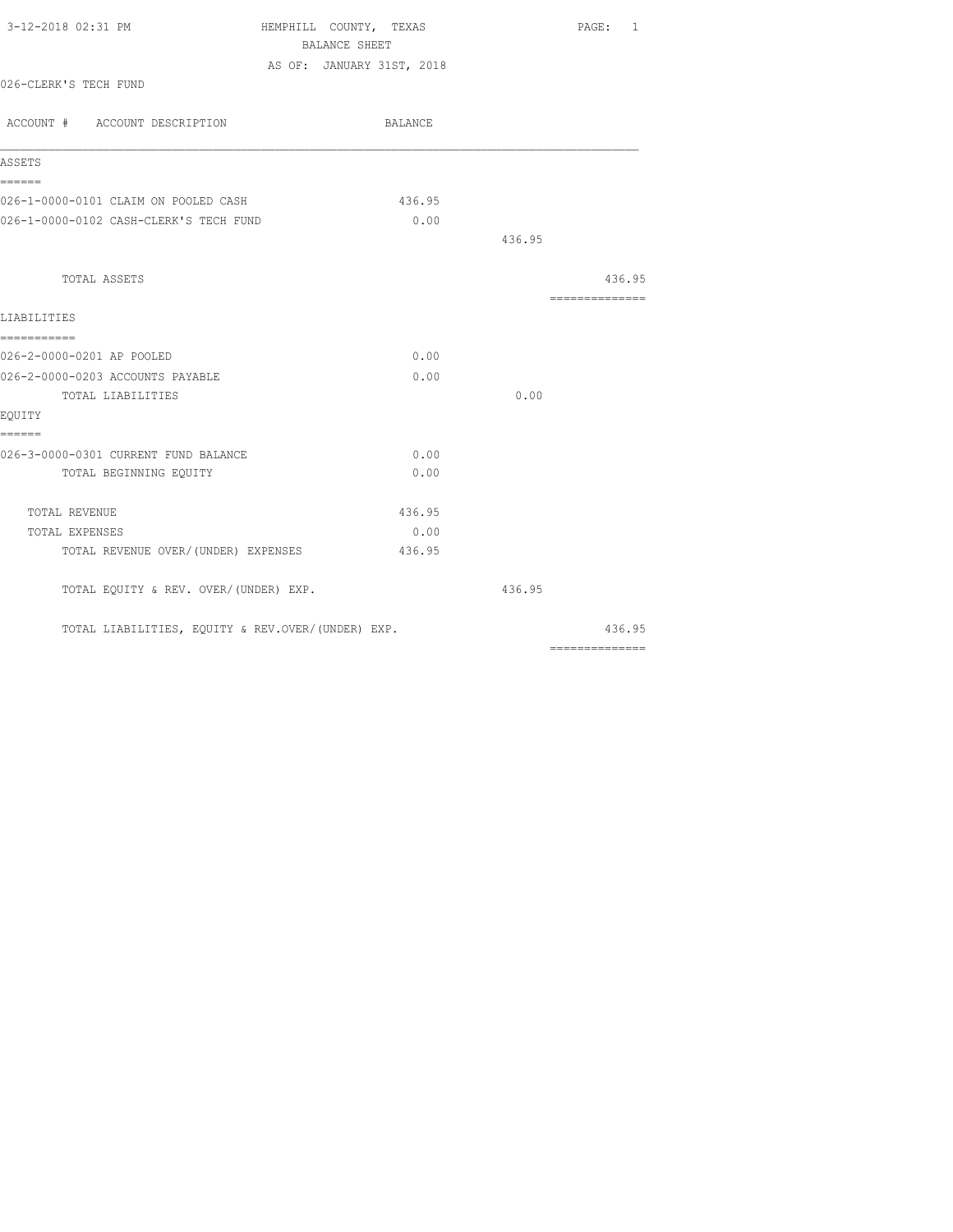| 3-12-2018 02:31 PM                                | HEMPHILL COUNTY, TEXAS    |        | PAGE: 1                                                                                                                                                                                                                                                                                                                                                                                                                                                                                |
|---------------------------------------------------|---------------------------|--------|----------------------------------------------------------------------------------------------------------------------------------------------------------------------------------------------------------------------------------------------------------------------------------------------------------------------------------------------------------------------------------------------------------------------------------------------------------------------------------------|
|                                                   | BALANCE SHEET             |        |                                                                                                                                                                                                                                                                                                                                                                                                                                                                                        |
|                                                   | AS OF: JANUARY 31ST, 2018 |        |                                                                                                                                                                                                                                                                                                                                                                                                                                                                                        |
| 026-CLERK'S TECH FUND                             |                           |        |                                                                                                                                                                                                                                                                                                                                                                                                                                                                                        |
| ACCOUNT # ACCOUNT DESCRIPTION                     | BALANCE                   |        |                                                                                                                                                                                                                                                                                                                                                                                                                                                                                        |
|                                                   |                           |        |                                                                                                                                                                                                                                                                                                                                                                                                                                                                                        |
| ASSETS                                            |                           |        |                                                                                                                                                                                                                                                                                                                                                                                                                                                                                        |
| ======<br>026-1-0000-0101 CLAIM ON POOLED CASH    | 436.95                    |        |                                                                                                                                                                                                                                                                                                                                                                                                                                                                                        |
| 026-1-0000-0102 CASH-CLERK'S TECH FUND            | 0.00                      |        |                                                                                                                                                                                                                                                                                                                                                                                                                                                                                        |
|                                                   |                           | 436.95 |                                                                                                                                                                                                                                                                                                                                                                                                                                                                                        |
|                                                   |                           |        |                                                                                                                                                                                                                                                                                                                                                                                                                                                                                        |
| TOTAL ASSETS                                      |                           |        | 436.95                                                                                                                                                                                                                                                                                                                                                                                                                                                                                 |
|                                                   |                           |        |                                                                                                                                                                                                                                                                                                                                                                                                                                                                                        |
| LIABILITIES                                       |                           |        |                                                                                                                                                                                                                                                                                                                                                                                                                                                                                        |
| ===========                                       |                           |        |                                                                                                                                                                                                                                                                                                                                                                                                                                                                                        |
| 026-2-0000-0201 AP POOLED                         | 0.00                      |        |                                                                                                                                                                                                                                                                                                                                                                                                                                                                                        |
| 026-2-0000-0203 ACCOUNTS PAYABLE                  | 0.00                      |        |                                                                                                                                                                                                                                                                                                                                                                                                                                                                                        |
| TOTAL LIABILITIES                                 |                           | 0.00   |                                                                                                                                                                                                                                                                                                                                                                                                                                                                                        |
| EQUITY<br>------                                  |                           |        |                                                                                                                                                                                                                                                                                                                                                                                                                                                                                        |
| 026-3-0000-0301 CURRENT FUND BALANCE              | 0.00                      |        |                                                                                                                                                                                                                                                                                                                                                                                                                                                                                        |
| TOTAL BEGINNING EQUITY                            | 0.00                      |        |                                                                                                                                                                                                                                                                                                                                                                                                                                                                                        |
| TOTAL REVENUE                                     | 436.95                    |        |                                                                                                                                                                                                                                                                                                                                                                                                                                                                                        |
| TOTAL EXPENSES                                    | 0.00                      |        |                                                                                                                                                                                                                                                                                                                                                                                                                                                                                        |
| TOTAL REVENUE OVER/(UNDER) EXPENSES               | 436.95                    |        |                                                                                                                                                                                                                                                                                                                                                                                                                                                                                        |
| TOTAL EQUITY & REV. OVER/(UNDER) EXP.             |                           | 436.95 |                                                                                                                                                                                                                                                                                                                                                                                                                                                                                        |
| TOTAL LIABILITIES, EQUITY & REV.OVER/(UNDER) EXP. |                           |        | 436.95                                                                                                                                                                                                                                                                                                                                                                                                                                                                                 |
|                                                   |                           |        | $\begin{array}{cccccccccccccc} \multicolumn{2}{c}{} & \multicolumn{2}{c}{} & \multicolumn{2}{c}{} & \multicolumn{2}{c}{} & \multicolumn{2}{c}{} & \multicolumn{2}{c}{} & \multicolumn{2}{c}{} & \multicolumn{2}{c}{} & \multicolumn{2}{c}{} & \multicolumn{2}{c}{} & \multicolumn{2}{c}{} & \multicolumn{2}{c}{} & \multicolumn{2}{c}{} & \multicolumn{2}{c}{} & \multicolumn{2}{c}{} & \multicolumn{2}{c}{} & \multicolumn{2}{c}{} & \multicolumn{2}{c}{} & \multicolumn{2}{c}{} & \$ |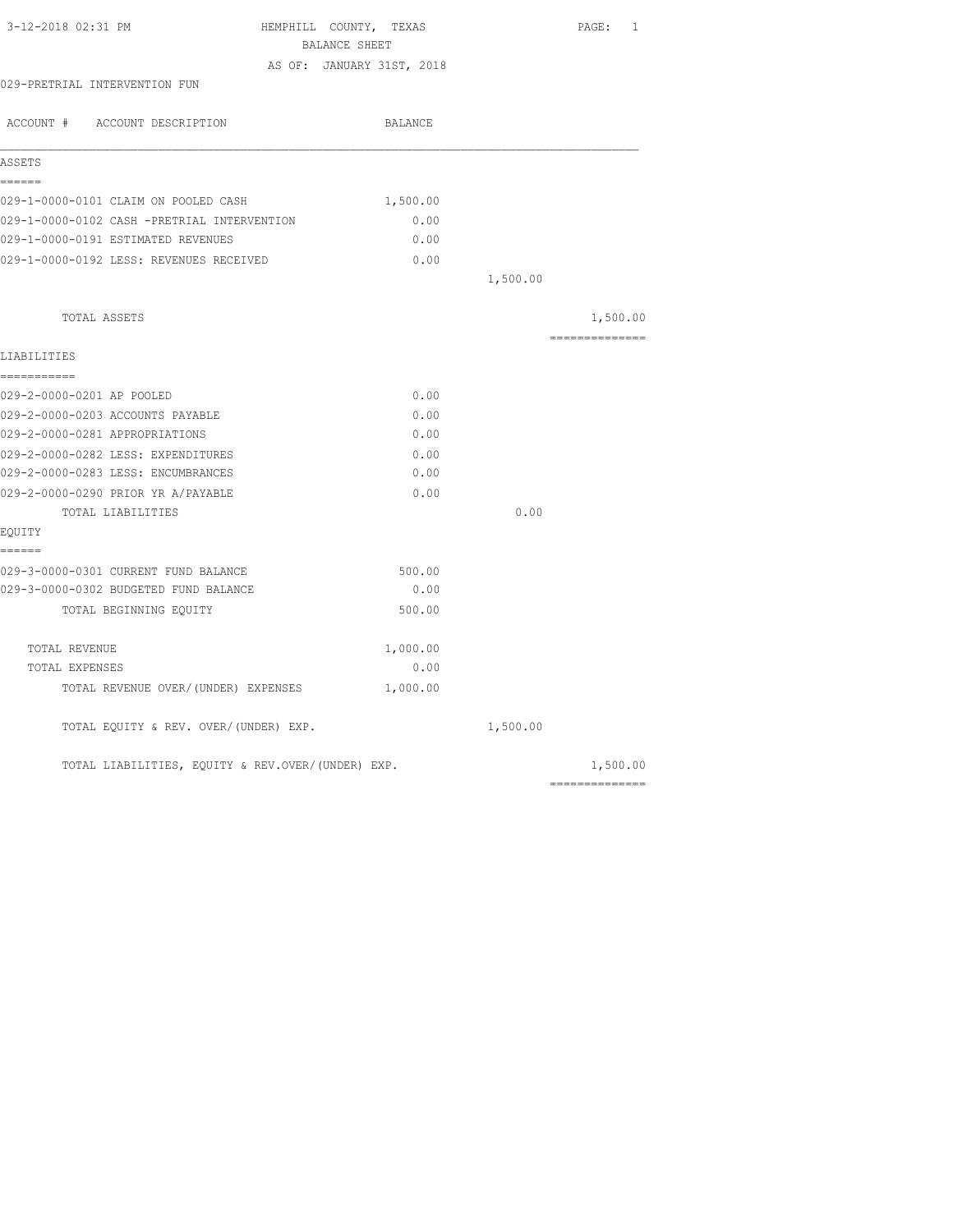| 3-12-2018 02:31 PM                                | HEMPHILL COUNTY, TEXAS    | PAGE: 1        |
|---------------------------------------------------|---------------------------|----------------|
|                                                   | BALANCE SHEET             |                |
|                                                   | AS OF: JANUARY 31ST, 2018 |                |
| 029-PRETRIAL INTERVENTION FUN                     |                           |                |
| ACCOUNT # ACCOUNT DESCRIPTION                     | BALANCE                   |                |
| ASSETS                                            |                           |                |
| ------                                            |                           |                |
| 029-1-0000-0101 CLAIM ON POOLED CASH              | 1,500.00                  |                |
| 029-1-0000-0102 CASH -PRETRIAL INTERVENTION       | 0.00                      |                |
| 029-1-0000-0191 ESTIMATED REVENUES                | 0.00                      |                |
| 029-1-0000-0192 LESS: REVENUES RECEIVED           | 0.00                      |                |
|                                                   |                           | 1,500.00       |
| TOTAL ASSETS                                      |                           | 1,500.00       |
| LIABILITIES                                       |                           | ============== |
| -----------                                       |                           |                |
| 029-2-0000-0201 AP POOLED                         | 0.00                      |                |
| 029-2-0000-0203 ACCOUNTS PAYABLE                  | 0.00                      |                |
| 029-2-0000-0281 APPROPRIATIONS                    | 0.00                      |                |
| 029-2-0000-0282 LESS: EXPENDITURES                | 0.00                      |                |
| 029-2-0000-0283 LESS: ENCUMBRANCES                | 0.00                      |                |
| 029-2-0000-0290 PRIOR YR A/PAYABLE                | 0.00                      |                |
| TOTAL LIABILITIES                                 |                           | 0.00           |
| EOUITY                                            |                           |                |
| ------<br>029-3-0000-0301 CURRENT FUND BALANCE    | 500.00                    |                |
| 029-3-0000-0302 BUDGETED FUND BALANCE             | 0.00                      |                |
| TOTAL BEGINNING EOUITY                            | 500.00                    |                |
| TOTAL REVENUE                                     | 1,000.00                  |                |
| TOTAL EXPENSES                                    | 0.00                      |                |
| TOTAL REVENUE OVER/(UNDER) EXPENSES               | 1,000.00                  |                |
| TOTAL EQUITY & REV. OVER/(UNDER) EXP.             |                           | 1,500.00       |
| TOTAL LIABILITIES, EQUITY & REV.OVER/(UNDER) EXP. |                           | 1,500.00       |
|                                                   |                           |                |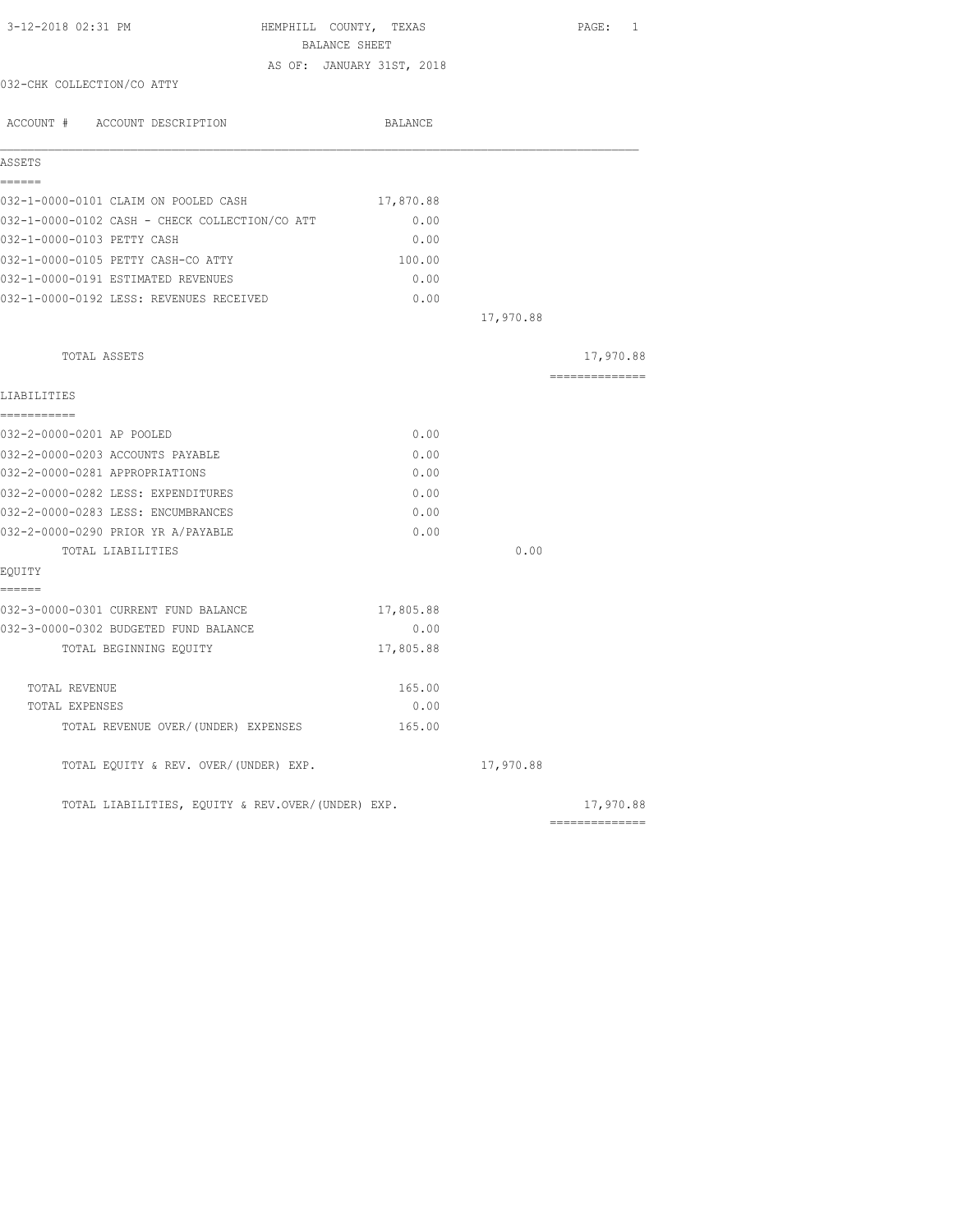| 3-12-2018 02:31 PM                                | HEMPHILL COUNTY, TEXAS<br>BALANCE SHEET | PAGE: 1                                                                                                                                                                                                                                                                                                                                                                                                                                                                                |
|---------------------------------------------------|-----------------------------------------|----------------------------------------------------------------------------------------------------------------------------------------------------------------------------------------------------------------------------------------------------------------------------------------------------------------------------------------------------------------------------------------------------------------------------------------------------------------------------------------|
|                                                   | AS OF: JANUARY 31ST, 2018               |                                                                                                                                                                                                                                                                                                                                                                                                                                                                                        |
| 032-CHK COLLECTION/CO ATTY                        |                                         |                                                                                                                                                                                                                                                                                                                                                                                                                                                                                        |
| ACCOUNT # ACCOUNT DESCRIPTION                     | BALANCE                                 |                                                                                                                                                                                                                                                                                                                                                                                                                                                                                        |
| ASSETS                                            |                                         |                                                                                                                                                                                                                                                                                                                                                                                                                                                                                        |
| ======<br>032-1-0000-0101 CLAIM ON POOLED CASH    | 17,870.88                               |                                                                                                                                                                                                                                                                                                                                                                                                                                                                                        |
| 032-1-0000-0102 CASH - CHECK COLLECTION/CO ATT    | 0.00                                    |                                                                                                                                                                                                                                                                                                                                                                                                                                                                                        |
| 032-1-0000-0103 PETTY CASH                        | 0.00                                    |                                                                                                                                                                                                                                                                                                                                                                                                                                                                                        |
| 032-1-0000-0105 PETTY CASH-CO ATTY                | 100.00                                  |                                                                                                                                                                                                                                                                                                                                                                                                                                                                                        |
| 032-1-0000-0191 ESTIMATED REVENUES                | 0.00                                    |                                                                                                                                                                                                                                                                                                                                                                                                                                                                                        |
| 032-1-0000-0192 LESS: REVENUES RECEIVED           | 0.00                                    |                                                                                                                                                                                                                                                                                                                                                                                                                                                                                        |
|                                                   |                                         | 17,970.88                                                                                                                                                                                                                                                                                                                                                                                                                                                                              |
| TOTAL ASSETS                                      |                                         | 17,970.88                                                                                                                                                                                                                                                                                                                                                                                                                                                                              |
| LIABILITIES                                       |                                         | $\begin{array}{cccccccccc} \multicolumn{2}{c}{} & \multicolumn{2}{c}{} & \multicolumn{2}{c}{} & \multicolumn{2}{c}{} & \multicolumn{2}{c}{} & \multicolumn{2}{c}{} & \multicolumn{2}{c}{} & \multicolumn{2}{c}{} & \multicolumn{2}{c}{} & \multicolumn{2}{c}{} & \multicolumn{2}{c}{} & \multicolumn{2}{c}{} & \multicolumn{2}{c}{} & \multicolumn{2}{c}{} & \multicolumn{2}{c}{} & \multicolumn{2}{c}{} & \multicolumn{2}{c}{} & \multicolumn{2}{c}{} & \multicolumn{2}{c}{} & \mult$ |
| ===========<br>032-2-0000-0201 AP POOLED          | 0.00                                    |                                                                                                                                                                                                                                                                                                                                                                                                                                                                                        |
| 032-2-0000-0203 ACCOUNTS PAYABLE                  | 0.00                                    |                                                                                                                                                                                                                                                                                                                                                                                                                                                                                        |
| 032-2-0000-0281 APPROPRIATIONS                    | 0.00                                    |                                                                                                                                                                                                                                                                                                                                                                                                                                                                                        |
| 032-2-0000-0282 LESS: EXPENDITURES                | 0.00                                    |                                                                                                                                                                                                                                                                                                                                                                                                                                                                                        |
| 032-2-0000-0283 LESS: ENCUMBRANCES                | 0.00                                    |                                                                                                                                                                                                                                                                                                                                                                                                                                                                                        |
| 032-2-0000-0290 PRIOR YR A/PAYABLE                | 0.00                                    |                                                                                                                                                                                                                                                                                                                                                                                                                                                                                        |
| TOTAL LIABILITIES                                 |                                         | 0.00                                                                                                                                                                                                                                                                                                                                                                                                                                                                                   |
| EQUITY<br>------                                  |                                         |                                                                                                                                                                                                                                                                                                                                                                                                                                                                                        |
| 032-3-0000-0301 CURRENT FUND BALANCE              | 17,805.88                               |                                                                                                                                                                                                                                                                                                                                                                                                                                                                                        |
| 032-3-0000-0302 BUDGETED FUND BALANCE             | 0.00                                    |                                                                                                                                                                                                                                                                                                                                                                                                                                                                                        |
| TOTAL BEGINNING EQUITY                            | 17,805.88                               |                                                                                                                                                                                                                                                                                                                                                                                                                                                                                        |
| TOTAL REVENUE                                     | 165.00                                  |                                                                                                                                                                                                                                                                                                                                                                                                                                                                                        |
| TOTAL EXPENSES                                    | 0.00                                    |                                                                                                                                                                                                                                                                                                                                                                                                                                                                                        |
| TOTAL REVENUE OVER/ (UNDER) EXPENSES              | 165.00                                  |                                                                                                                                                                                                                                                                                                                                                                                                                                                                                        |
| TOTAL EQUITY & REV. OVER/(UNDER) EXP.             |                                         | 17,970.88                                                                                                                                                                                                                                                                                                                                                                                                                                                                              |
| TOTAL LIABILITIES, EQUITY & REV.OVER/(UNDER) EXP. |                                         | 17,970.88                                                                                                                                                                                                                                                                                                                                                                                                                                                                              |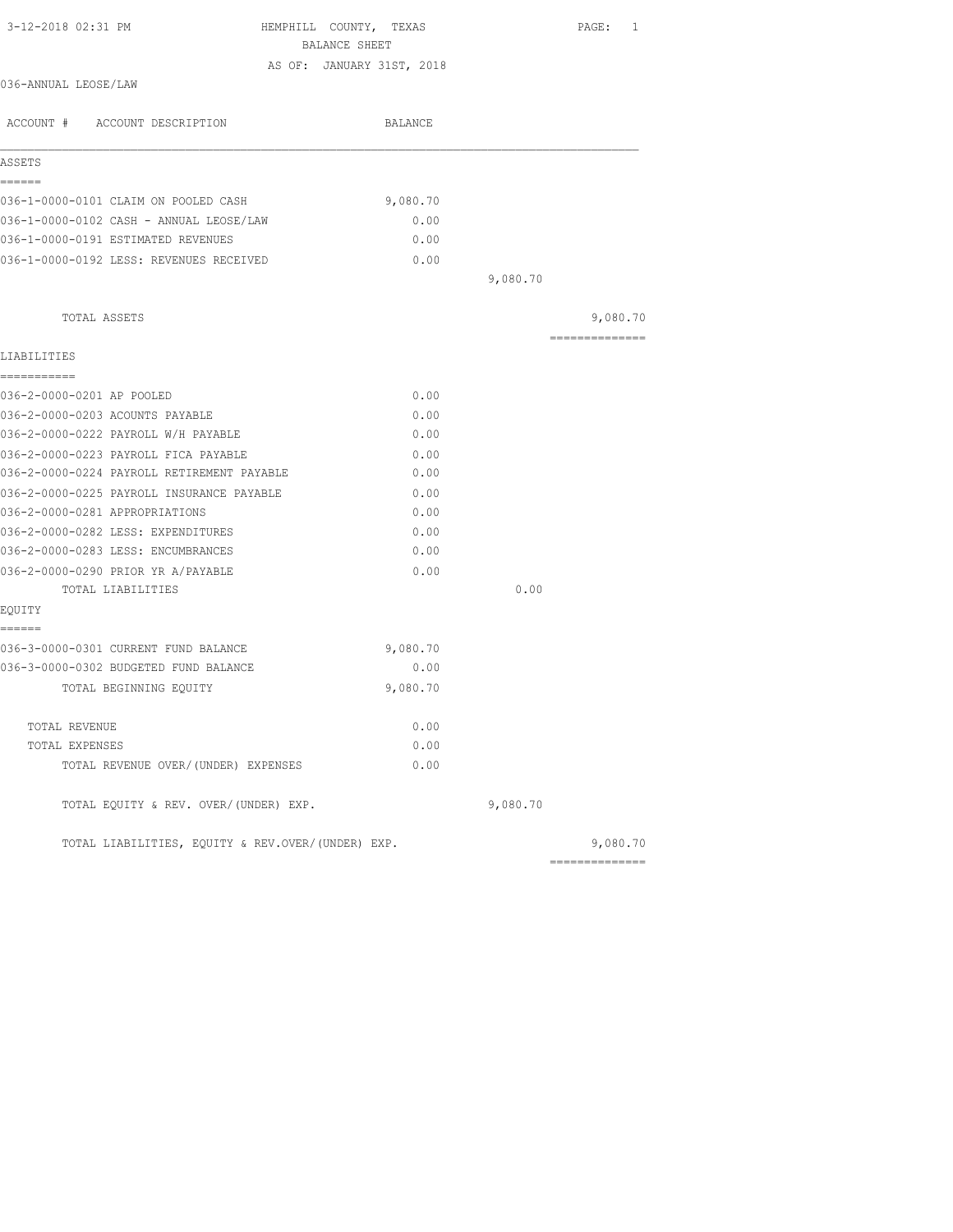| 3-12-2018 02:31 PM<br>HEMPHILL COUNTY, TEXAS<br>BALANCE SHEET |                           |          | PAGE: 1         |
|---------------------------------------------------------------|---------------------------|----------|-----------------|
|                                                               | AS OF: JANUARY 31ST, 2018 |          |                 |
| 036-ANNUAL LEOSE/LAW                                          |                           |          |                 |
| ACCOUNT # ACCOUNT DESCRIPTION                                 | BALANCE                   |          |                 |
| ASSETS                                                        |                           |          |                 |
| ======                                                        |                           |          |                 |
| 036-1-0000-0101 CLAIM ON POOLED CASH                          | 9,080.70                  |          |                 |
| 036-1-0000-0102 CASH - ANNUAL LEOSE/LAW                       | 0.00                      |          |                 |
| 036-1-0000-0191 ESTIMATED REVENUES                            | 0.00                      |          |                 |
| 036-1-0000-0192 LESS: REVENUES RECEIVED                       | 0.00                      |          |                 |
|                                                               |                           | 9,080.70 |                 |
| TOTAL ASSETS                                                  |                           |          | 9,080.70        |
| LIABILITIES                                                   |                           |          | =============== |
| ===========                                                   |                           |          |                 |
| 036-2-0000-0201 AP POOLED                                     | 0.00                      |          |                 |
| 036-2-0000-0203 ACOUNTS PAYABLE                               | 0.00                      |          |                 |
| 036-2-0000-0222 PAYROLL W/H PAYABLE                           | 0.00                      |          |                 |
| 036-2-0000-0223 PAYROLL FICA PAYABLE                          | 0.00                      |          |                 |
| 036-2-0000-0224 PAYROLL RETIREMENT PAYABLE                    | 0.00                      |          |                 |
| 036-2-0000-0225 PAYROLL INSURANCE PAYABLE                     | 0.00                      |          |                 |
| 036-2-0000-0281 APPROPRIATIONS                                | 0.00                      |          |                 |
| 036-2-0000-0282 LESS: EXPENDITURES                            | 0.00                      |          |                 |
| 036-2-0000-0283 LESS: ENCUMBRANCES                            | 0.00                      |          |                 |
| 036-2-0000-0290 PRIOR YR A/PAYABLE                            | 0.00                      |          |                 |
| TOTAL LIABILITIES                                             |                           | 0.00     |                 |
| EQUITY<br>======                                              |                           |          |                 |
| 036-3-0000-0301 CURRENT FUND BALANCE                          | 9,080.70                  |          |                 |
| 036-3-0000-0302 BUDGETED FUND BALANCE                         | 0.00                      |          |                 |
| TOTAL BEGINNING EQUITY                                        | 9,080.70                  |          |                 |
| TOTAL REVENUE                                                 | 0.00                      |          |                 |
| TOTAL EXPENSES                                                | 0.00                      |          |                 |
| TOTAL REVENUE OVER/(UNDER) EXPENSES                           | 0.00                      |          |                 |
| TOTAL EQUITY & REV. OVER/(UNDER) EXP.                         |                           | 9,080.70 |                 |
| TOTAL LIABILITIES, EQUITY & REV.OVER/(UNDER) EXP.             |                           |          | 9,080.70        |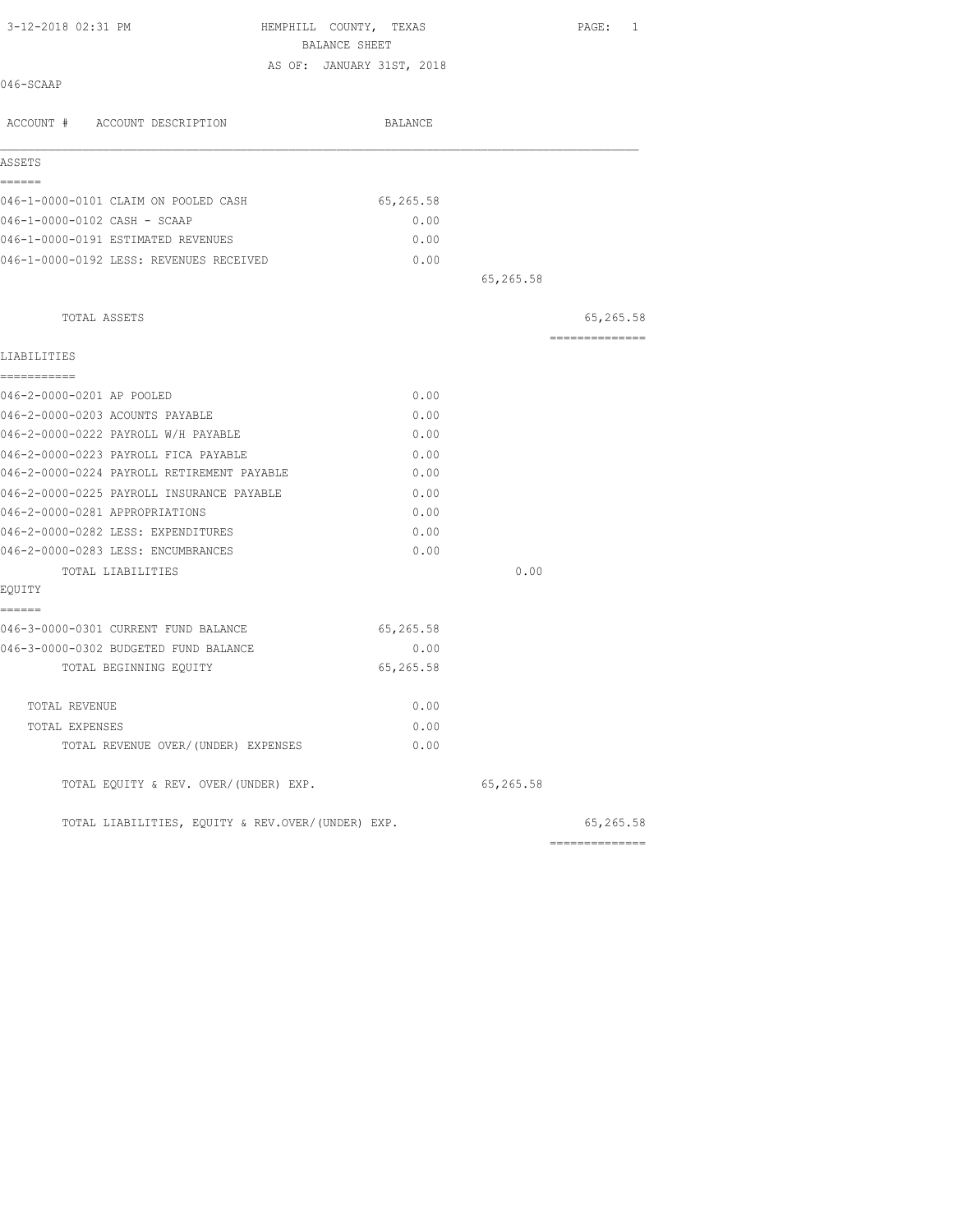| 3-12-2018 02:31 PM                                | HEMPHILL COUNTY, TEXAS<br>BALANCE SHEET |           | PAGE: 1        |
|---------------------------------------------------|-----------------------------------------|-----------|----------------|
|                                                   | AS OF: JANUARY 31ST, 2018               |           |                |
| 046-SCAAP                                         |                                         |           |                |
| ACCOUNT # ACCOUNT DESCRIPTION                     | BALANCE                                 |           |                |
| ASSETS                                            |                                         |           |                |
| ------<br>046-1-0000-0101 CLAIM ON POOLED CASH    | 65,265.58                               |           |                |
| 046-1-0000-0102 CASH - SCAAP                      | 0.00                                    |           |                |
| 046-1-0000-0191 ESTIMATED REVENUES                | 0.00                                    |           |                |
| 046-1-0000-0192 LESS: REVENUES RECEIVED           | 0.00                                    |           |                |
|                                                   |                                         | 65,265.58 |                |
| TOTAL ASSETS                                      |                                         |           | 65,265.58      |
| LIABILITIES                                       |                                         |           | ============== |
| -----------                                       |                                         |           |                |
| 046-2-0000-0201 AP POOLED                         | 0.00                                    |           |                |
| 046-2-0000-0203 ACOUNTS PAYABLE                   | 0.00                                    |           |                |
| 046-2-0000-0222 PAYROLL W/H PAYABLE               | 0.00                                    |           |                |
| 046-2-0000-0223 PAYROLL FICA PAYABLE              | 0.00                                    |           |                |
| 046-2-0000-0224 PAYROLL RETIREMENT PAYABLE        | 0.00                                    |           |                |
| 046-2-0000-0225 PAYROLL INSURANCE PAYABLE         | 0.00                                    |           |                |
| 046-2-0000-0281 APPROPRIATIONS                    | 0.00                                    |           |                |
| 046-2-0000-0282 LESS: EXPENDITURES                | 0.00                                    |           |                |
| 046-2-0000-0283 LESS: ENCUMBRANCES                | 0.00                                    |           |                |
| TOTAL LIABILITIES<br>EQUITY                       |                                         | 0.00      |                |
| ======<br>046-3-0000-0301 CURRENT FUND BALANCE    | 65,265.58                               |           |                |
| 046-3-0000-0302 BUDGETED FUND BALANCE             | 0.00                                    |           |                |
| TOTAL BEGINNING EQUITY                            | 65,265.58                               |           |                |
| TOTAL REVENUE                                     | 0.00                                    |           |                |
| TOTAL EXPENSES                                    | 0.00                                    |           |                |
| TOTAL REVENUE OVER/(UNDER) EXPENSES               | 0.00                                    |           |                |
| TOTAL EQUITY & REV. OVER/(UNDER) EXP.             |                                         | 65,265.58 |                |
| TOTAL LIABILITIES, EQUITY & REV.OVER/(UNDER) EXP. |                                         |           | 65,265.58      |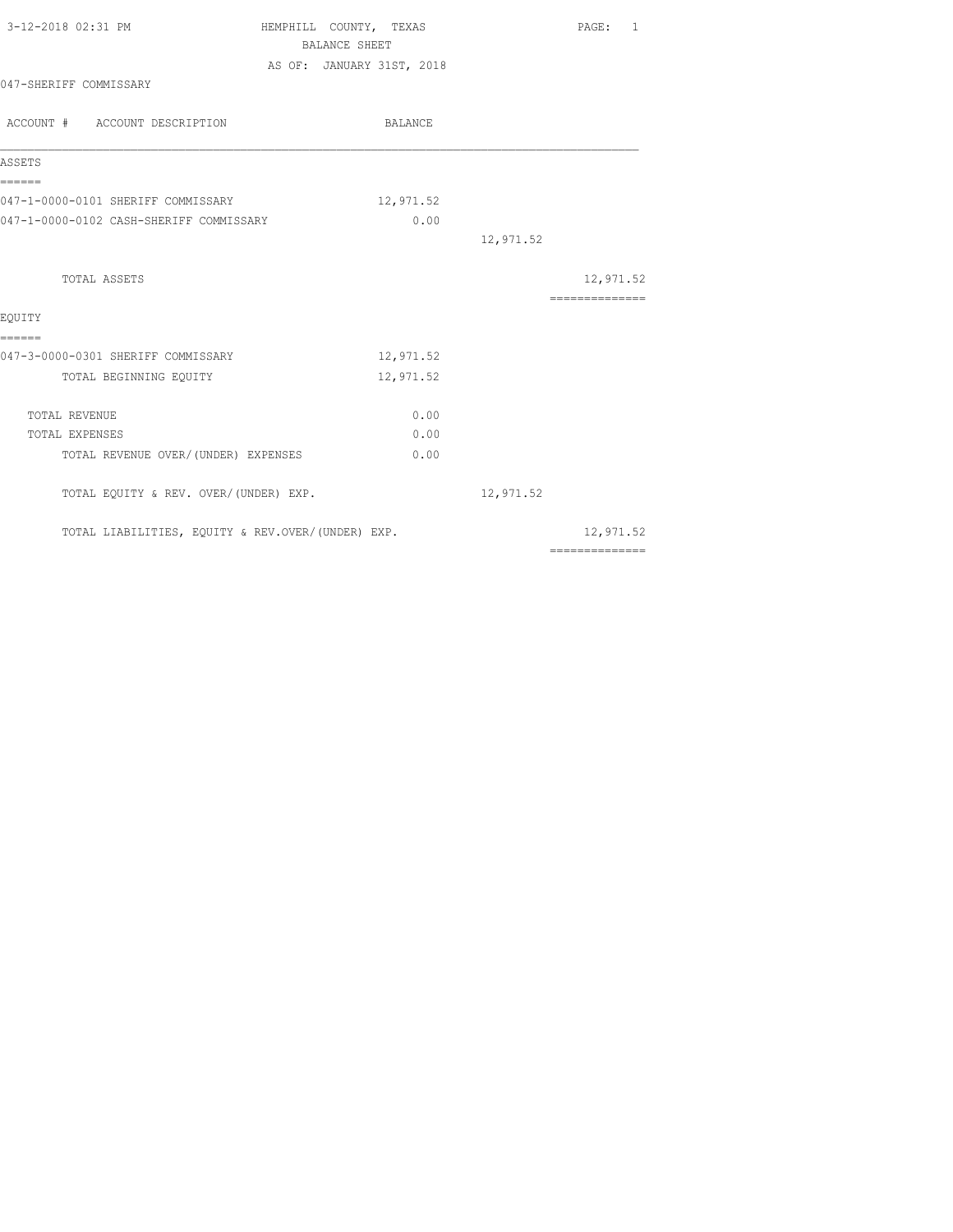| 3-12-2018 02:31 PM                                | HEMPHILL COUNTY, TEXAS    | PAGE: 1                                                                                                                                                                                                                                                                                                                                                                                                                                                                                |
|---------------------------------------------------|---------------------------|----------------------------------------------------------------------------------------------------------------------------------------------------------------------------------------------------------------------------------------------------------------------------------------------------------------------------------------------------------------------------------------------------------------------------------------------------------------------------------------|
|                                                   | <b>BALANCE SHEET</b>      |                                                                                                                                                                                                                                                                                                                                                                                                                                                                                        |
|                                                   | AS OF: JANUARY 31ST, 2018 |                                                                                                                                                                                                                                                                                                                                                                                                                                                                                        |
| 047-SHERIFF COMMISSARY                            |                           |                                                                                                                                                                                                                                                                                                                                                                                                                                                                                        |
| ACCOUNT # ACCOUNT DESCRIPTION                     | BALANCE                   |                                                                                                                                                                                                                                                                                                                                                                                                                                                                                        |
| ASSETS                                            |                           |                                                                                                                                                                                                                                                                                                                                                                                                                                                                                        |
| ------<br>047-1-0000-0101 SHERIFF COMMISSARY      | 12,971.52                 |                                                                                                                                                                                                                                                                                                                                                                                                                                                                                        |
| 047-1-0000-0102 CASH-SHERIFF COMMISSARY           | 0.00                      |                                                                                                                                                                                                                                                                                                                                                                                                                                                                                        |
|                                                   |                           | 12,971.52                                                                                                                                                                                                                                                                                                                                                                                                                                                                              |
| <b>TOTAL ASSETS</b>                               |                           | 12,971.52                                                                                                                                                                                                                                                                                                                                                                                                                                                                              |
|                                                   |                           | $\begin{array}{cccccccccccccc} \multicolumn{2}{c}{} & \multicolumn{2}{c}{} & \multicolumn{2}{c}{} & \multicolumn{2}{c}{} & \multicolumn{2}{c}{} & \multicolumn{2}{c}{} & \multicolumn{2}{c}{} & \multicolumn{2}{c}{} & \multicolumn{2}{c}{} & \multicolumn{2}{c}{} & \multicolumn{2}{c}{} & \multicolumn{2}{c}{} & \multicolumn{2}{c}{} & \multicolumn{2}{c}{} & \multicolumn{2}{c}{} & \multicolumn{2}{c}{} & \multicolumn{2}{c}{} & \multicolumn{2}{c}{} & \multicolumn{2}{c}{} & \$ |
| EOUITY<br>======                                  |                           |                                                                                                                                                                                                                                                                                                                                                                                                                                                                                        |
| 047-3-0000-0301 SHERIFF COMMISSARY                | 12,971.52                 |                                                                                                                                                                                                                                                                                                                                                                                                                                                                                        |
| TOTAL BEGINNING EQUITY                            | 12,971.52                 |                                                                                                                                                                                                                                                                                                                                                                                                                                                                                        |
| TOTAL REVENUE                                     | 0.00                      |                                                                                                                                                                                                                                                                                                                                                                                                                                                                                        |
| TOTAL EXPENSES                                    | 0.00                      |                                                                                                                                                                                                                                                                                                                                                                                                                                                                                        |
| TOTAL REVENUE OVER/(UNDER) EXPENSES               | 0.00                      |                                                                                                                                                                                                                                                                                                                                                                                                                                                                                        |
| TOTAL EQUITY & REV. OVER/(UNDER) EXP.             |                           | 12,971.52                                                                                                                                                                                                                                                                                                                                                                                                                                                                              |
| TOTAL LIABILITIES, EQUITY & REV.OVER/(UNDER) EXP. |                           | 12,971.52                                                                                                                                                                                                                                                                                                                                                                                                                                                                              |
|                                                   |                           | $\begin{array}{cccccccccccccc} \multicolumn{2}{c}{} & \multicolumn{2}{c}{} & \multicolumn{2}{c}{} & \multicolumn{2}{c}{} & \multicolumn{2}{c}{} & \multicolumn{2}{c}{} & \multicolumn{2}{c}{} & \multicolumn{2}{c}{} & \multicolumn{2}{c}{} & \multicolumn{2}{c}{} & \multicolumn{2}{c}{} & \multicolumn{2}{c}{} & \multicolumn{2}{c}{} & \multicolumn{2}{c}{} & \multicolumn{2}{c}{} & \multicolumn{2}{c}{} & \multicolumn{2}{c}{} & \multicolumn{2}{c}{} & \multicolumn{2}{c}{} & \$ |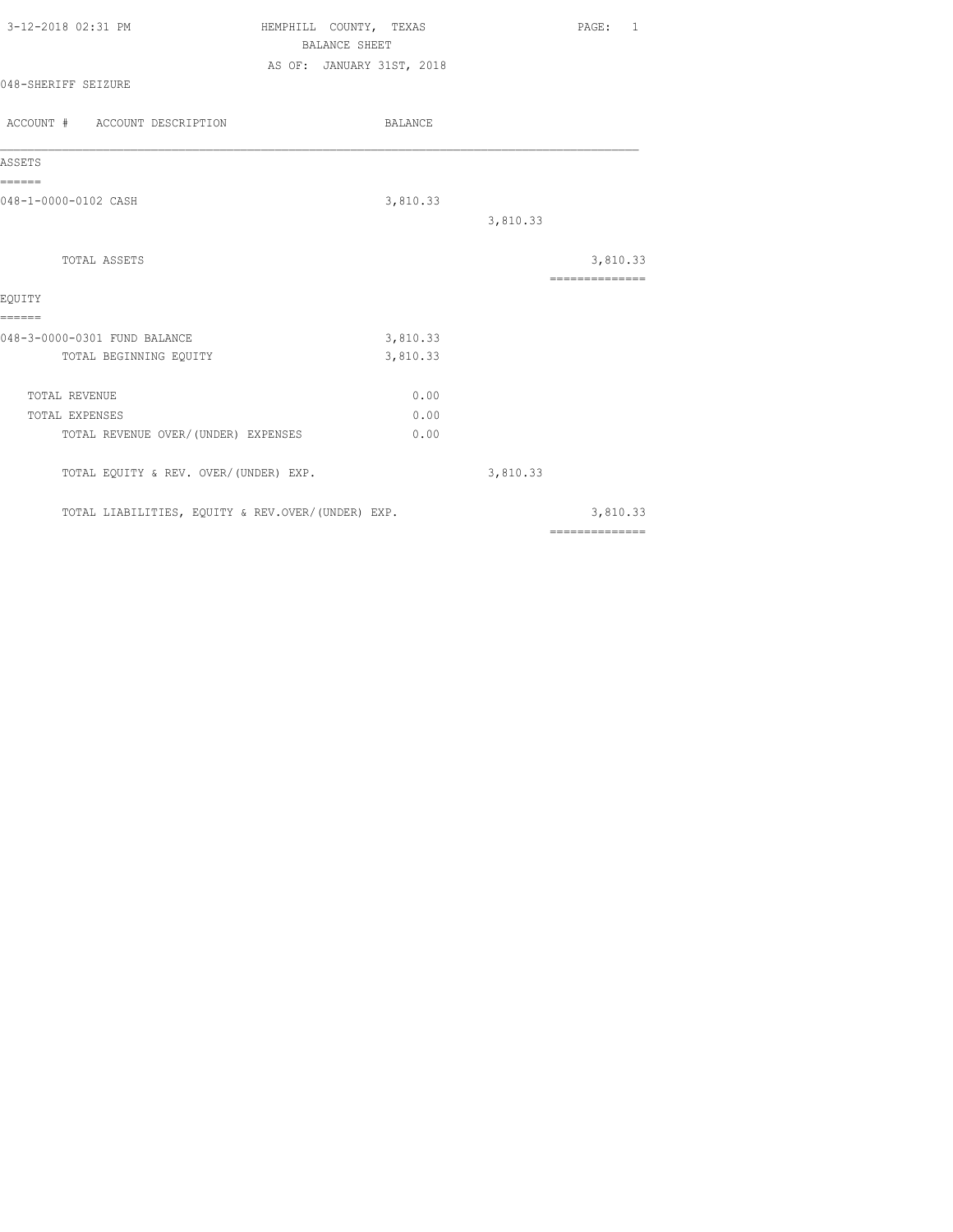| 3-12-2018 02:31 PM            | COUNTY, TEXAS<br>HEMPHILL |          | PAGE:    | $\overline{1}$ |
|-------------------------------|---------------------------|----------|----------|----------------|
|                               | BALANCE SHEET             |          |          |                |
|                               | AS OF: JANUARY 31ST, 2018 |          |          |                |
| 048-SHERIFF SEIZURE           |                           |          |          |                |
|                               |                           |          |          |                |
| ACCOUNT # ACCOUNT DESCRIPTION | BALANCE                   |          |          |                |
|                               |                           |          |          |                |
| ASSETS                        |                           |          |          |                |
| ______                        |                           |          |          |                |
| 048-1-0000-0102 CASH          | 3,810.33                  |          |          |                |
|                               |                           | 3,810.33 |          |                |
|                               |                           |          |          |                |
| TOTAL ASSETS                  |                           |          | 3,810.33 |                |
|                               |                           |          |          |                |

| EQUITY                                            |          |          |          |
|---------------------------------------------------|----------|----------|----------|
|                                                   |          |          |          |
| 048-3-0000-0301 FUND BALANCE                      | 3,810.33 |          |          |
| TOTAL BEGINNING EQUITY                            | 3,810.33 |          |          |
| TOTAL REVENUE                                     | 0.00     |          |          |
| TOTAL EXPENSES                                    | 0.00     |          |          |
| TOTAL REVENUE OVER/(UNDER) EXPENSES               | 0.00     |          |          |
| TOTAL EQUITY & REV. OVER/(UNDER) EXP.             |          | 3,810.33 |          |
| TOTAL LIABILITIES, EQUITY & REV.OVER/(UNDER) EXP. |          |          | 3,810.33 |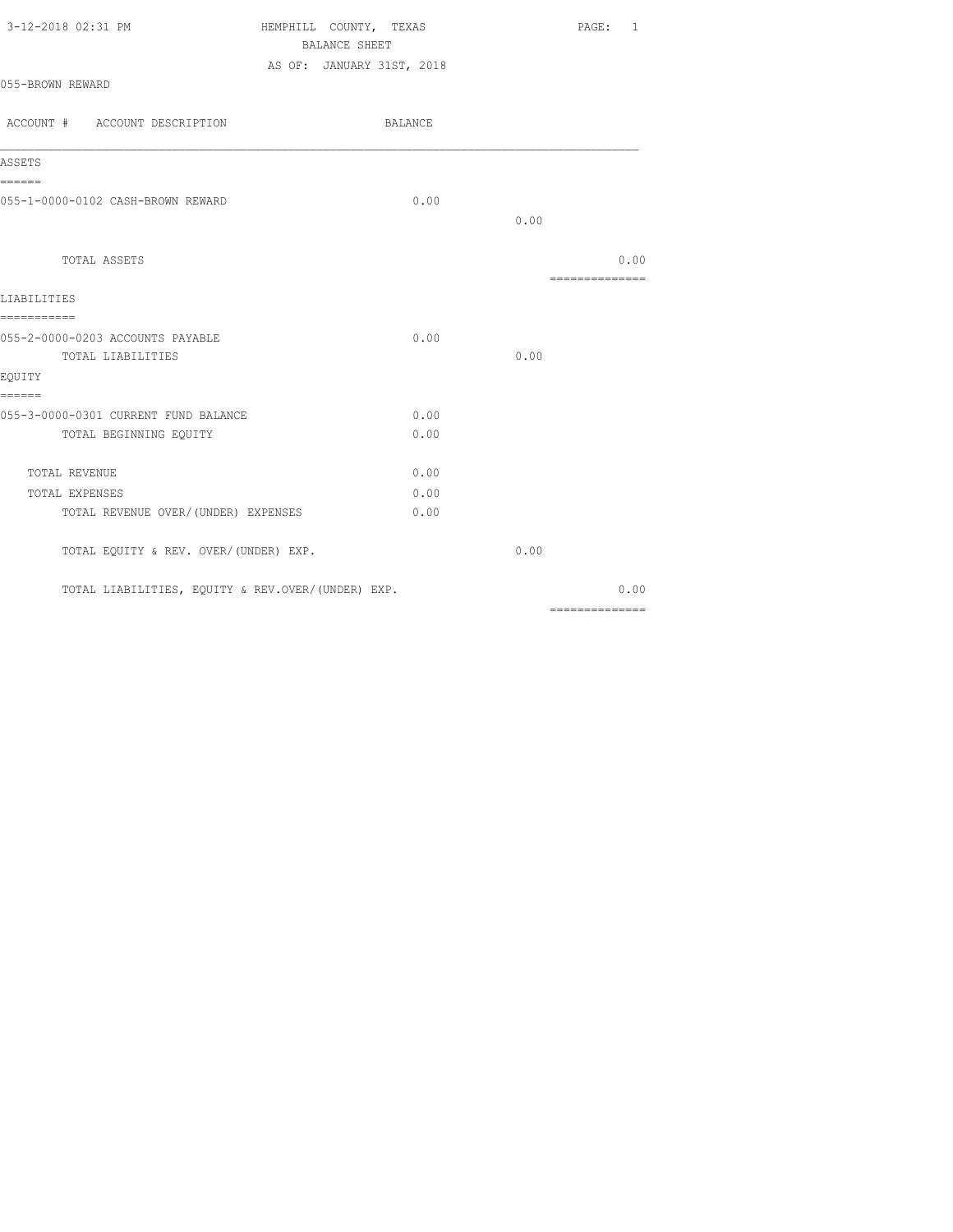| 3-12-2018 02:31 PM | HEMPHILL COUNTY, TEXAS    | PAGE: 1 |
|--------------------|---------------------------|---------|
|                    | BALANCE SHEET             |         |
|                    | AS OF: JANUARY 31ST, 2018 |         |
| 055-BROWN REWARD   |                           |         |

| ACCOUNT # ACCOUNT DESCRIPTION                     | BALANCE |      |                                                                                                                                                                                                                                                                                                                                                                                                                                                                                                |
|---------------------------------------------------|---------|------|------------------------------------------------------------------------------------------------------------------------------------------------------------------------------------------------------------------------------------------------------------------------------------------------------------------------------------------------------------------------------------------------------------------------------------------------------------------------------------------------|
| ASSETS                                            |         |      |                                                                                                                                                                                                                                                                                                                                                                                                                                                                                                |
| ======<br>055-1-0000-0102 CASH-BROWN REWARD       | 0.00    |      |                                                                                                                                                                                                                                                                                                                                                                                                                                                                                                |
|                                                   |         | 0.00 |                                                                                                                                                                                                                                                                                                                                                                                                                                                                                                |
| TOTAL ASSETS                                      |         |      | 0.00<br>$\begin{array}{cccccccccccccc} \multicolumn{2}{c}{} & \multicolumn{2}{c}{} & \multicolumn{2}{c}{} & \multicolumn{2}{c}{} & \multicolumn{2}{c}{} & \multicolumn{2}{c}{} & \multicolumn{2}{c}{} & \multicolumn{2}{c}{} & \multicolumn{2}{c}{} & \multicolumn{2}{c}{} & \multicolumn{2}{c}{} & \multicolumn{2}{c}{} & \multicolumn{2}{c}{} & \multicolumn{2}{c}{} & \multicolumn{2}{c}{} & \multicolumn{2}{c}{} & \multicolumn{2}{c}{} & \multicolumn{2}{c}{} & \multicolumn{2}{c}{} & \$ |
| LIABILITIES                                       |         |      |                                                                                                                                                                                                                                                                                                                                                                                                                                                                                                |
| ===========<br>055-2-0000-0203 ACCOUNTS PAYABLE   | 0.00    |      |                                                                                                                                                                                                                                                                                                                                                                                                                                                                                                |
| TOTAL LIABILITIES                                 |         | 0.00 |                                                                                                                                                                                                                                                                                                                                                                                                                                                                                                |
| EQUITY<br>======                                  |         |      |                                                                                                                                                                                                                                                                                                                                                                                                                                                                                                |
| 055-3-0000-0301 CURRENT FUND BALANCE              | 0.00    |      |                                                                                                                                                                                                                                                                                                                                                                                                                                                                                                |
| TOTAL BEGINNING EQUITY                            | 0.00    |      |                                                                                                                                                                                                                                                                                                                                                                                                                                                                                                |
| <b>TOTAL REVENUE</b>                              | 0.00    |      |                                                                                                                                                                                                                                                                                                                                                                                                                                                                                                |
| TOTAL EXPENSES                                    | 0.00    |      |                                                                                                                                                                                                                                                                                                                                                                                                                                                                                                |
| TOTAL REVENUE OVER/(UNDER) EXPENSES               | 0.00    |      |                                                                                                                                                                                                                                                                                                                                                                                                                                                                                                |
| TOTAL EQUITY & REV. OVER/(UNDER) EXP.             |         | 0.00 |                                                                                                                                                                                                                                                                                                                                                                                                                                                                                                |
| TOTAL LIABILITIES, EQUITY & REV.OVER/(UNDER) EXP. |         |      | 0.00                                                                                                                                                                                                                                                                                                                                                                                                                                                                                           |
|                                                   |         |      | ==============                                                                                                                                                                                                                                                                                                                                                                                                                                                                                 |